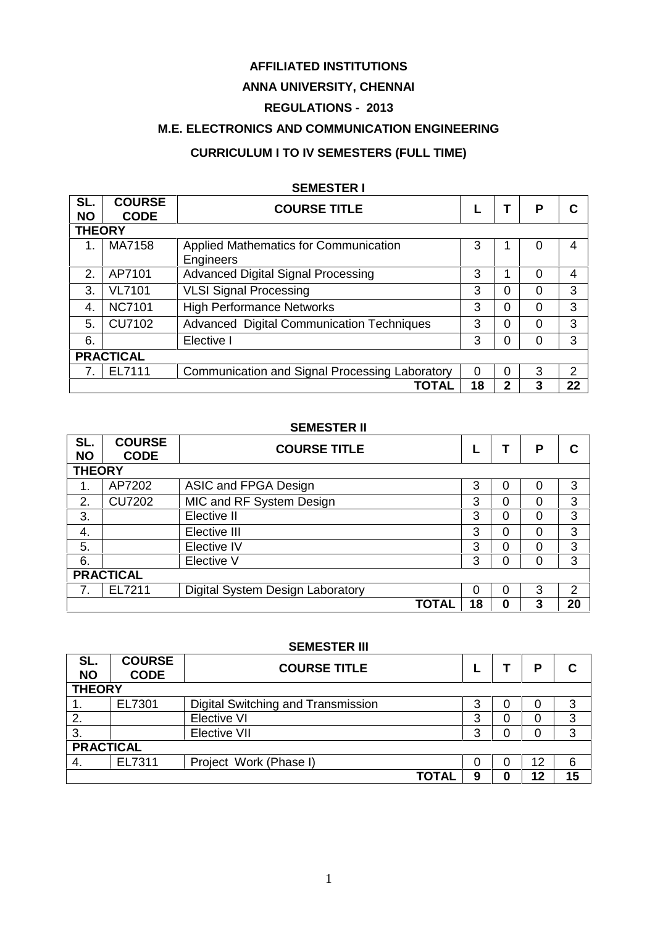### **AFFILIATED INSTITUTIONS**

# **ANNA UNIVERSITY, CHENNAI**

# **REGULATIONS - 2013**

# **M.E. ELECTRONICS AND COMMUNICATION ENGINEERING**

# **CURRICULUM I TO IV SEMESTERS (FULL TIME)**

# **SEMESTER I**

| SL.<br><b>NO</b> | <b>COURSE</b><br><b>CODE</b>                    | <b>COURSE TITLE</b>                              |          |          | Р        | С  |  |
|------------------|-------------------------------------------------|--------------------------------------------------|----------|----------|----------|----|--|
| <b>THEORY</b>    |                                                 |                                                  |          |          |          |    |  |
|                  | MA7158<br>Applied Mathematics for Communication |                                                  |          |          | 0        | 4  |  |
|                  |                                                 | Engineers                                        |          |          |          |    |  |
| 2.               | AP7101                                          | <b>Advanced Digital Signal Processing</b>        | 3        |          | $\Omega$ | 4  |  |
| 3.               | <b>VL7101</b>                                   | <b>VLSI Signal Processing</b>                    |          | $\Omega$ | $\Omega$ | 3  |  |
| 4.               | <b>NC7101</b>                                   | <b>High Performance Networks</b>                 | 3        | $\Omega$ | $\Omega$ | 3  |  |
| 5.               | <b>CU7102</b>                                   | <b>Advanced Digital Communication Techniques</b> | 3        | 0        | 0        | 3  |  |
| 6.               |                                                 | Elective I                                       | 3        |          | 0        | 3  |  |
| <b>PRACTICAL</b> |                                                 |                                                  |          |          |          |    |  |
|                  | EL7111                                          | Communication and Signal Processing Laboratory   | $\Omega$ | $\Omega$ | 3        | 2  |  |
|                  |                                                 | ΤΟΤΑΙ                                            | 18       |          | 3        | 22 |  |

### **SEMESTER II**

| SL.<br><b>NO</b> | <b>COURSE</b><br><b>CODE</b> | <b>COURSE TITLE</b>              |    |   | P | С  |  |
|------------------|------------------------------|----------------------------------|----|---|---|----|--|
| <b>THEORY</b>    |                              |                                  |    |   |   |    |  |
| 1.               | AP7202                       | ASIC and FPGA Design             |    | 0 | 0 | 3  |  |
| 2.               | <b>CU7202</b>                | MIC and RF System Design         | 3  | 0 | 0 | 3  |  |
| 3.               |                              | Elective II                      |    | 0 | 0 | 3  |  |
| 4.               |                              | Elective III                     | 3  | 0 | 0 | 3  |  |
| 5.               |                              | Elective IV                      | 3  | 0 | 0 | 3  |  |
| 6.               |                              | Elective V                       | 3  | 0 | 0 | 3  |  |
| <b>PRACTICAL</b> |                              |                                  |    |   |   |    |  |
| 7.               | EL7211                       | Digital System Design Laboratory | 0  | 0 | 3 | 2  |  |
|                  |                              | <b>TOTAL</b>                     | 18 | O | 3 | 20 |  |

### **SEMESTER III**

| SL.<br><b>NO</b> | <b>COURSE</b><br><b>CODE</b> | <b>COURSE TITLE</b>                |   |   | P  | С  |  |
|------------------|------------------------------|------------------------------------|---|---|----|----|--|
| <b>THEORY</b>    |                              |                                    |   |   |    |    |  |
| л.               | EL7301                       | Digital Switching and Transmission | 3 | υ | O  | 3  |  |
| 2.               |                              | Elective VI                        |   |   | 0  | 3  |  |
| 3.               |                              | Elective VII                       | 3 |   | 0  | 3  |  |
|                  | <b>PRACTICAL</b>             |                                    |   |   |    |    |  |
| -4.              | EL7311                       | Project Work (Phase I)             |   |   | 12 | 6  |  |
|                  |                              | TOTAL                              | 9 |   | 12 | 15 |  |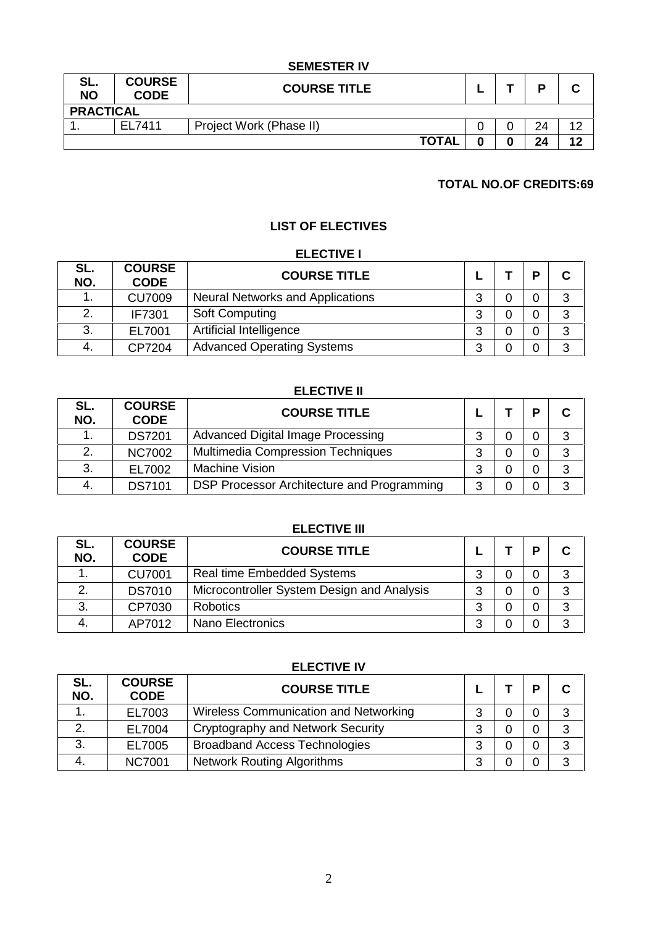### **SEMESTER IV**

| SL.<br><b>NO</b> | <b>COURSE</b><br><b>CODE</b> | <b>COURSE TITLE</b>     |  | D  | ⌒<br>u |
|------------------|------------------------------|-------------------------|--|----|--------|
| <b>PRACTICAL</b> |                              |                         |  |    |        |
|                  | EL7411                       | Project Work (Phase II) |  | 24 | 12     |
|                  |                              | <b>TOTAL</b>            |  | 24 | 12     |

# **TOTAL NO.OF CREDITS:69**

# **LIST OF ELECTIVES**

### **ELECTIVE I**

| SL.<br>NO. | <b>COURSE</b><br><b>CODE</b> | <b>COURSE TITLE</b>                     |   | D | $\mathbf c$ |
|------------|------------------------------|-----------------------------------------|---|---|-------------|
| . .        | <b>CU7009</b>                | <b>Neural Networks and Applications</b> |   | 0 | 3           |
|            | IF7301                       | <b>Soft Computing</b>                   | ົ | 0 | 3           |
| 3.         | EL7001                       | Artificial Intelligence                 |   | 0 | 3           |
| 4.         | CP7204                       | <b>Advanced Operating Systems</b>       | ົ | 0 | 3           |

# **ELECTIVE II**

| SL.<br>NO. | <b>COURSE</b><br><b>CODE</b> | <b>COURSE TITLE</b>                        |   | D | $\mathbf C$ |
|------------|------------------------------|--------------------------------------------|---|---|-------------|
|            | <b>DS7201</b>                | Advanced Digital Image Processing          |   | 0 | 3           |
|            | <b>NC7002</b>                | <b>Multimedia Compression Techniques</b>   | ◠ | 0 | 3           |
| 3.         | EL7002                       | <b>Machine Vision</b>                      | ົ | 0 | 3           |
| 4.         | <b>DS7101</b>                | DSP Processor Architecture and Programming | ົ | 0 | 3           |

# **ELECTIVE III**

| SL.<br>NO. | <b>COURSE</b><br><b>CODE</b> | <b>COURSE TITLE</b>                        |   | D        | $\mathbf c$ |
|------------|------------------------------|--------------------------------------------|---|----------|-------------|
|            | <b>CU7001</b>                | <b>Real time Embedded Systems</b>          | ◠ | 0        | 3           |
| ◠          | <b>DS7010</b>                | Microcontroller System Design and Analysis | ົ | 0        | 3           |
| 3.         | CP7030                       | <b>Robotics</b>                            | ◠ | 0        | 3           |
|            | AP7012                       | Nano Electronics                           |   | $\Omega$ | 3           |

| <b>ELECTIVE IV</b> |                              |                                       |        |  |   |   |  |  |
|--------------------|------------------------------|---------------------------------------|--------|--|---|---|--|--|
| SL.<br>NO.         | <b>COURSE</b><br><b>CODE</b> | <b>COURSE TITLE</b>                   |        |  | D | C |  |  |
|                    | EL7003                       | Wireless Communication and Networking | 3      |  | 0 | 3 |  |  |
| 2.                 | EL7004                       | Cryptography and Network Security     | ◠<br>ت |  | 0 | 3 |  |  |
| 3.                 | EL7005                       | <b>Broadband Access Technologies</b>  | ≏      |  | 0 | 3 |  |  |
| 4.                 | <b>NC7001</b>                | <b>Network Routing Algorithms</b>     | 3      |  |   | 3 |  |  |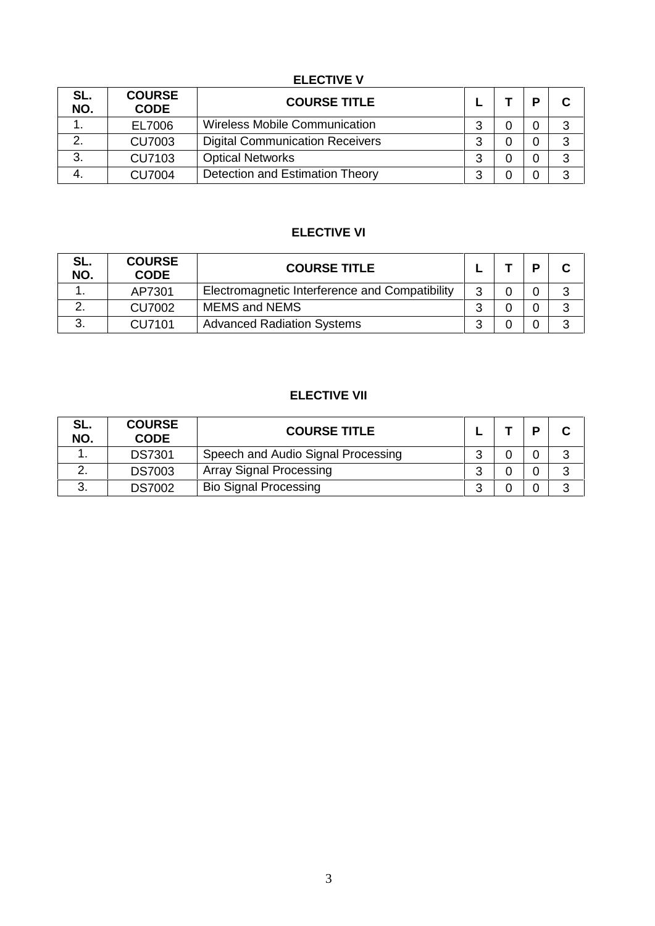# **ELECTIVE V**

| SL.<br>NO. | <b>COURSE</b><br><b>CODE</b> | <b>COURSE TITLE</b>                    |        | D | $\mathbf C$ |
|------------|------------------------------|----------------------------------------|--------|---|-------------|
|            | EL7006                       | <b>Wireless Mobile Communication</b>   | ⌒<br>J | 0 | 3           |
| っ          | <b>CU7003</b>                | <b>Digital Communication Receivers</b> | ◠      | 0 | 3           |
| 3.         | <b>CU7103</b>                | <b>Optical Networks</b>                |        | 0 | 3           |
|            | <b>CU7004</b>                | Detection and Estimation Theory        | ⌒      | 0 | 3           |

# **ELECTIVE VI**

| SL.<br>NO. | <b>COURSE</b><br><b>CODE</b> | <b>COURSE TITLE</b>                            |  | D | C |
|------------|------------------------------|------------------------------------------------|--|---|---|
|            | AP7301                       | Electromagnetic Interference and Compatibility |  | 0 | 3 |
| ⌒          | CU7002                       | <b>MEMS and NEMS</b>                           |  |   | າ |
| າ<br>J.    | CU7101                       | <b>Advanced Radiation Systems</b>              |  |   | 3 |

# **ELECTIVE VII**

| SL.<br>NO. | <b>COURSE</b><br><b>CODE</b> | <b>COURSE TITLE</b>                |  | D |   |
|------------|------------------------------|------------------------------------|--|---|---|
|            | <b>DS7301</b>                | Speech and Audio Signal Processing |  |   | າ |
| <u>.</u>   | <b>DS7003</b>                | <b>Array Signal Processing</b>     |  |   | ⌒ |
| ၪ.         | <b>DS7002</b>                | <b>Bio Signal Processing</b>       |  |   |   |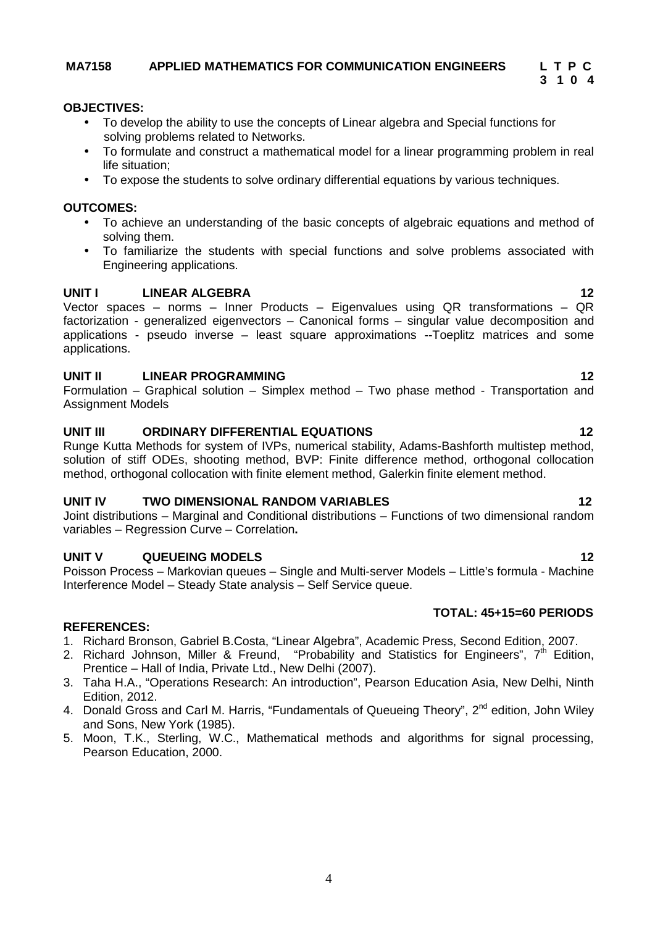# **MA7158 APPLIED MATHEMATICS FOR COMMUNICATION ENGINEERS L T P C**

# **OBJECTIVES:**

- To develop the ability to use the concepts of Linear algebra and Special functions for solving problems related to Networks.
- To formulate and construct a mathematical model for a linear programming problem in real life situation;
- To expose the students to solve ordinary differential equations by various techniques.

# **OUTCOMES:**

- To achieve an understanding of the basic concepts of algebraic equations and method of solving them.
- To familiarize the students with special functions and solve problems associated with Engineering applications.

# **UNIT I LINEAR ALGEBRA 12**

Vector spaces – norms – Inner Products – Eigenvalues using QR transformations – QR factorization - generalized eigenvectors – Canonical forms – singular value decomposition and applications - pseudo inverse – least square approximations --Toeplitz matrices and some applications.

# **UNIT II LINEAR PROGRAMMING 12**

Formulation – Graphical solution – Simplex method – Two phase method - Transportation and Assignment Models

# **UNIT III ORDINARY DIFFERENTIAL EQUATIONS 12**

Runge Kutta Methods for system of IVPs, numerical stability, Adams-Bashforth multistep method, solution of stiff ODEs, shooting method, BVP: Finite difference method, orthogonal collocation method, orthogonal collocation with finite element method, Galerkin finite element method.

# **UNIT IV TWO DIMENSIONAL RANDOM VARIABLES 12**

Joint distributions – Marginal and Conditional distributions – Functions of two dimensional random variables – Regression Curve – Correlation**.**

# **UNIT V QUEUEING MODELS 12**

Poisson Process – Markovian queues – Single and Multi-server Models – Little's formula - Machine Interference Model – Steady State analysis – Self Service queue.

# **TOTAL: 45+15=60 PERIODS**

# **REFERENCES:**

- 1. Richard Bronson, Gabriel B.Costa, "Linear Algebra", Academic Press, Second Edition, 2007.
- 2. Richard Johnson, Miller & Freund, "Probability and Statistics for Engineers", 7<sup>th</sup> Edition, Prentice – Hall of India, Private Ltd., New Delhi (2007).
- 3. Taha H.A., "Operations Research: An introduction", Pearson Education Asia, New Delhi, Ninth Edition, 2012.
- 4. Donald Gross and Carl M. Harris, "Fundamentals of Queueing Theory", 2<sup>nd</sup> edition, John Wiley and Sons, New York (1985).
- 5. Moon, T.K., Sterling, W.C., Mathematical methods and algorithms for signal processing, Pearson Education, 2000.

**3 1 0 4**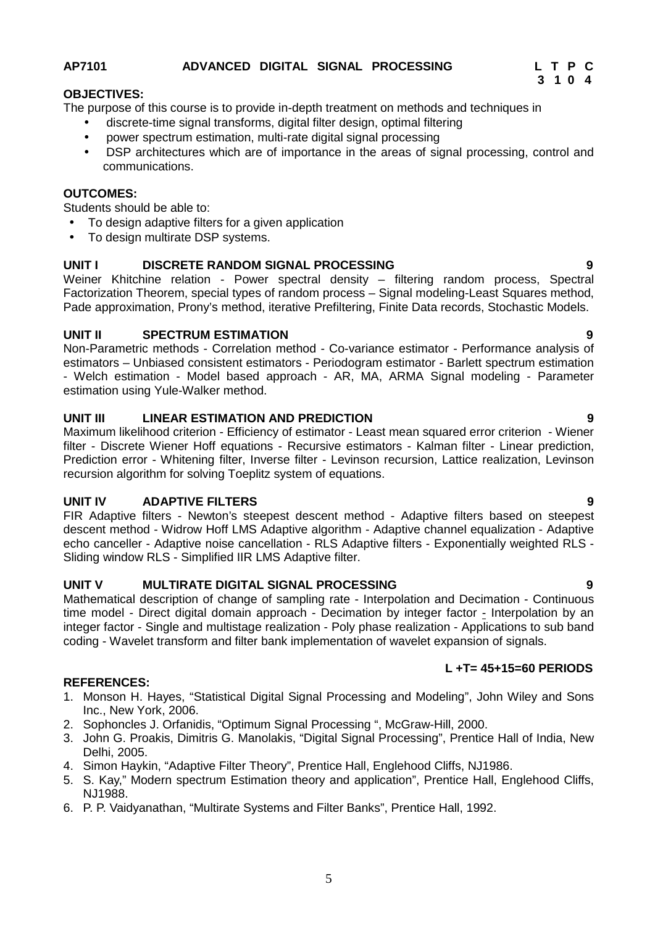# **AP7101 ADVANCED DIGITAL SIGNAL PROCESSING L T P C**

### **OBJECTIVES:**

The purpose of this course is to provide in-depth treatment on methods and techniques in

- discrete-time signal transforms, digital filter design, optimal filtering
- power spectrum estimation, multi-rate digital signal processing
- DSP architectures which are of importance in the areas of signal processing, control and communications.

# **OUTCOMES:**

Students should be able to:

- To design adaptive filters for a given application
- To design multirate DSP systems.

### **UNIT I DISCRETE RANDOM SIGNAL PROCESSING 9**

Weiner Khitchine relation - Power spectral density – filtering random process, Spectral Factorization Theorem, special types of random process – Signal modeling-Least Squares method, Pade approximation, Prony's method, iterative Prefiltering, Finite Data records, Stochastic Models.

# **UNIT II SPECTRUM ESTIMATION 9**

Non-Parametric methods - Correlation method - Co-variance estimator - Performance analysis of estimators – Unbiased consistent estimators - Periodogram estimator - Barlett spectrum estimation - Welch estimation - Model based approach - AR, MA, ARMA Signal modeling - Parameter estimation using Yule-Walker method.

# **UNIT III LINEAR ESTIMATION AND PREDICTION 9**

Maximum likelihood criterion - Efficiency of estimator - Least mean squared error criterion - Wiener filter - Discrete Wiener Hoff equations - Recursive estimators - Kalman filter - Linear prediction, Prediction error - Whitening filter, Inverse filter - Levinson recursion, Lattice realization, Levinson recursion algorithm for solving Toeplitz system of equations.

### **UNIT IV ADAPTIVE FILTERS 9**

FIR Adaptive filters - Newton's steepest descent method - Adaptive filters based on steepest descent method - Widrow Hoff LMS Adaptive algorithm - Adaptive channel equalization - Adaptive echo canceller - Adaptive noise cancellation - RLS Adaptive filters - Exponentially weighted RLS - Sliding window RLS - Simplified IIR LMS Adaptive filter.

# **UNIT V MULTIRATE DIGITAL SIGNAL PROCESSING 9**

Mathematical description of change of sampling rate - Interpolation and Decimation - Continuous time model - Direct digital domain approach - Decimation by integer factor - Interpolation by an integer factor - Single and multistage realization - Poly phase realization - Applications to sub band coding - Wavelet transform and filter bank implementation of wavelet expansion of signals.

### **L +T= 45+15=60 PERIODS**

### **REFERENCES:**

- 1. Monson H. Hayes, "Statistical Digital Signal Processing and Modeling", John Wiley and Sons Inc., New York, 2006.
- 2. Sophoncles J. Orfanidis, "Optimum Signal Processing ", McGraw-Hill, 2000.
- 3. John G. Proakis, Dimitris G. Manolakis, "Digital Signal Processing", Prentice Hall of India, New Delhi, 2005.
- 4. Simon Haykin, "Adaptive Filter Theory", Prentice Hall, Englehood Cliffs, NJ1986.
- 5. S. Kay," Modern spectrum Estimation theory and application", Prentice Hall, Englehood Cliffs, NJ1988.
- 6. P. P. Vaidyanathan, "Multirate Systems and Filter Banks", Prentice Hall, 1992.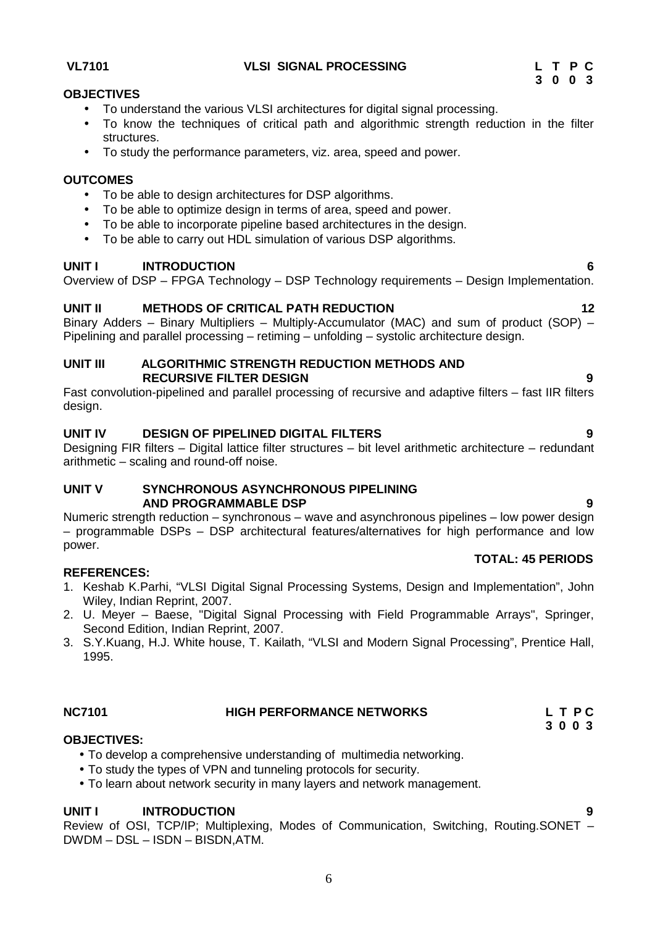# **VL7101 VLSI SIGNAL PROCESSING L T P C**

# **OBJECTIVES**

- To understand the various VLSI architectures for digital signal processing.
- To know the techniques of critical path and algorithmic strength reduction in the filter structures.
- To study the performance parameters, viz. area, speed and power.

### **OUTCOMES**

- To be able to design architectures for DSP algorithms.
- To be able to optimize design in terms of area, speed and power.
- To be able to incorporate pipeline based architectures in the design.
- To be able to carry out HDL simulation of various DSP algorithms.

### **UNIT I INTRODUCTION 6**

Overview of DSP – FPGA Technology – DSP Technology requirements – Design Implementation.

# **UNIT II METHODS OF CRITICAL PATH REDUCTION 12**

Binary Adders – Binary Multipliers – Multiply-Accumulator (MAC) and sum of product (SOP) – Pipelining and parallel processing – retiming – unfolding – systolic architecture design.

### **UNIT III ALGORITHMIC STRENGTH REDUCTION METHODS AND RECURSIVE FILTER DESIGN 9**

Fast convolution-pipelined and parallel processing of recursive and adaptive filters – fast IIR filters design.

# **UNIT IV DESIGN OF PIPELINED DIGITAL FILTERS 9**

Designing FIR filters – Digital lattice filter structures – bit level arithmetic architecture – redundant arithmetic – scaling and round-off noise.

### **UNIT V SYNCHRONOUS ASYNCHRONOUS PIPELINING AND PROGRAMMABLE DSP 9**

Numeric strength reduction – synchronous – wave and asynchronous pipelines – low power design – programmable DSPs – DSP architectural features/alternatives for high performance and low power.

### **REFERENCES:**

- 1. Keshab K.Parhi, "VLSI Digital Signal Processing Systems, Design and Implementation", John Wiley, Indian Reprint, 2007.
- 2. U. Meyer Baese, "Digital Signal Processing with Field Programmable Arrays", Springer, Second Edition, Indian Reprint, 2007.
- 3. S.Y.Kuang, H.J. White house, T. Kailath, "VLSI and Modern Signal Processing", Prentice Hall, 1995.

# **NC7101 HIGH PERFORMANCE NETWORKS L T P C**

# **OBJECTIVES:**

- To develop a comprehensive understanding of multimedia networking.
- To study the types of VPN and tunneling protocols for security.
- To learn about network security in many layers and network management.

### **UNIT I INTRODUCTION 9**

Review of OSI, TCP/IP; Multiplexing, Modes of Communication, Switching, Routing.SONET – DWDM – DSL – ISDN – BISDN,ATM.

# **TOTAL: 45 PERIODS**

**3 0 0 3**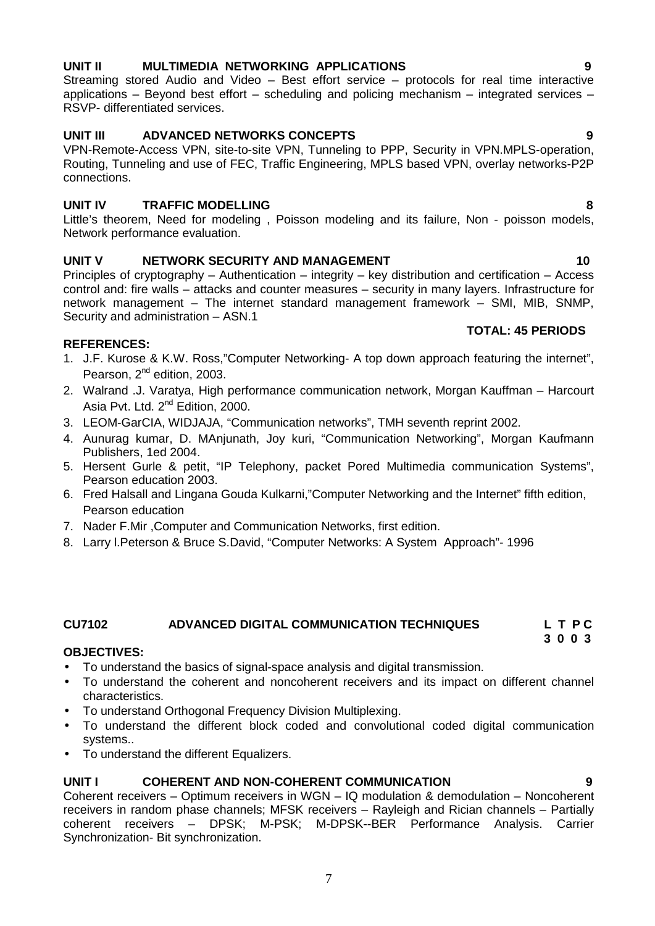# 7

# **UNIT II MULTIMEDIA NETWORKING APPLICATIONS 9**

Streaming stored Audio and Video – Best effort service – protocols for real time interactive applications – Beyond best effort – scheduling and policing mechanism – integrated services – RSVP- differentiated services.

# **UNIT III ADVANCED NETWORKS CONCEPTS 9**

VPN-Remote-Access VPN, site-to-site VPN, Tunneling to PPP, Security in VPN.MPLS-operation, Routing, Tunneling and use of FEC, Traffic Engineering, MPLS based VPN, overlay networks-P2P connections.

# **UNIT IV TRAFFIC MODELLING 8**

Little's theorem, Need for modeling , Poisson modeling and its failure, Non - poisson models, Network performance evaluation.

# **UNIT V NETWORK SECURITY AND MANAGEMENT 10**

Principles of cryptography – Authentication – integrity – key distribution and certification – Access control and: fire walls – attacks and counter measures – security in many layers. Infrastructure for network management – The internet standard management framework – SMI, MIB, SNMP, Security and administration – ASN.1 **TOTAL: 45 PERIODS**

# **REFERENCES:**

- 1. J.F. Kurose & K.W. Ross,"Computer Networking- A top down approach featuring the internet", Pearson, 2<sup>nd</sup> edition, 2003.
- 2. Walrand .J. Varatya, High performance communication network, Morgan Kauffman Harcourt Asia Pvt. Ltd. 2<sup>nd</sup> Edition, 2000.
- 3. LEOM-GarCIA, WIDJAJA, "Communication networks", TMH seventh reprint 2002.
- 4. Aunurag kumar, D. MAnjunath, Joy kuri, "Communication Networking", Morgan Kaufmann Publishers, 1ed 2004.
- 5. Hersent Gurle & petit, "IP Telephony, packet Pored Multimedia communication Systems", Pearson education 2003.
- 6. Fred Halsall and Lingana Gouda Kulkarni,"Computer Networking and the Internet" fifth edition, Pearson education
- 7. Nader F.Mir ,Computer and Communication Networks, first edition.
- 8. Larry l.Peterson & Bruce S.David, "Computer Networks: A System Approach"- 1996

# **CU7102 ADVANCED DIGITAL COMMUNICATION TECHNIQUES L T P C**

### **OBJECTIVES:**

- To understand the basics of signal-space analysis and digital transmission.
- To understand the coherent and noncoherent receivers and its impact on different channel characteristics.
- To understand Orthogonal Frequency Division Multiplexing.
- To understand the different block coded and convolutional coded digital communication systems..
- To understand the different Equalizers.

# **UNIT I COHERENT AND NON-COHERENT COMMUNICATION 9**

Coherent receivers – Optimum receivers in WGN – IQ modulation & demodulation – Noncoherent receivers in random phase channels; MFSK receivers – Rayleigh and Rician channels – Partially coherent receivers – DPSK; M-PSK; M-DPSK--BER Performance Analysis. Carrier Synchronization- Bit synchronization.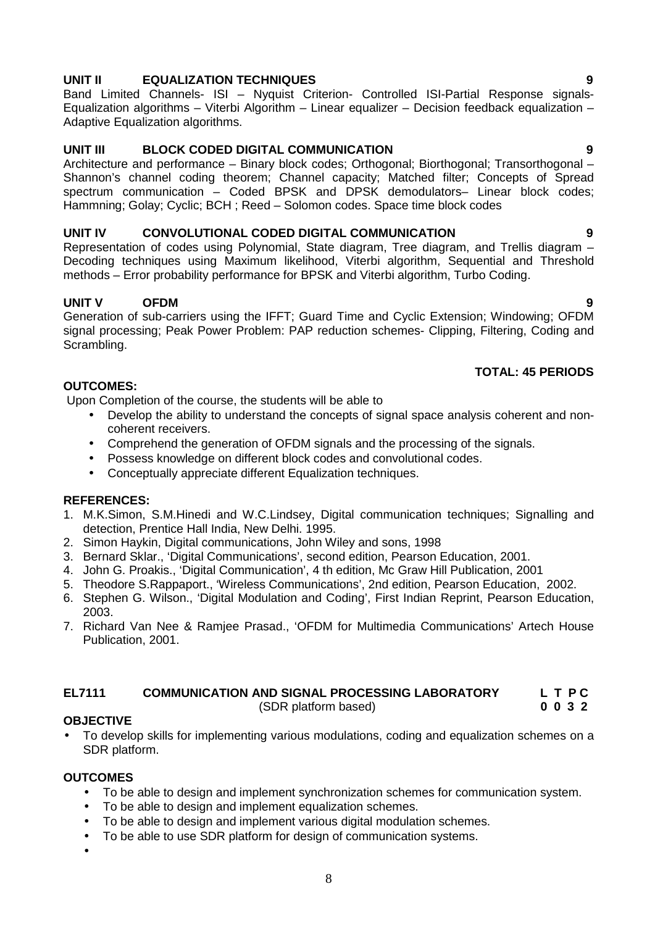# **UNIT II EQUALIZATION TECHNIQUES 9**

Band Limited Channels- ISI – Nyquist Criterion- Controlled ISI-Partial Response signals- Equalization algorithms – Viterbi Algorithm – Linear equalizer – Decision feedback equalization – Adaptive Equalization algorithms.

# **UNIT III BLOCK CODED DIGITAL COMMUNICATION 9**

Architecture and performance – Binary block codes; Orthogonal; Biorthogonal; Transorthogonal – Shannon's channel coding theorem; Channel capacity; Matched filter; Concepts of Spread spectrum communication – Coded BPSK and DPSK demodulators– Linear block codes; Hammning; Golay; Cyclic; BCH ; Reed – Solomon codes. Space time block codes

# **UNIT IV CONVOLUTIONAL CODED DIGITAL COMMUNICATION 9**

Representation of codes using Polynomial, State diagram, Tree diagram, and Trellis diagram – Decoding techniques using Maximum likelihood, Viterbi algorithm, Sequential and Threshold methods – Error probability performance for BPSK and Viterbi algorithm, Turbo Coding.

# **UNIT V OFDM 9**

Generation of sub-carriers using the IFFT; Guard Time and Cyclic Extension; Windowing; OFDM signal processing; Peak Power Problem: PAP reduction schemes- Clipping, Filtering, Coding and Scrambling.

# **TOTAL: 45 PERIODS**

# **OUTCOMES:**

Upon Completion of the course, the students will be able to

- Develop the ability to understand the concepts of signal space analysis coherent and non coherent receivers.
- Comprehend the generation of OFDM signals and the processing of the signals.
- Possess knowledge on different block codes and convolutional codes.
- Conceptually appreciate different Equalization techniques.

# **REFERENCES:**

- 1. M.K.Simon, S.M.Hinedi and W.C.Lindsey, Digital communication techniques; Signalling and detection, Prentice Hall India, New Delhi. 1995.
- 2. Simon Haykin, Digital communications, John Wiley and sons, 1998
- 3. Bernard Sklar., 'Digital Communications', second edition, Pearson Education, 2001.
- 4. John G. Proakis., 'Digital Communication', 4 th edition, Mc Graw Hill Publication, 2001
- 5. Theodore S.Rappaport., 'Wireless Communications', 2nd edition, Pearson Education, 2002.
- 6. Stephen G. Wilson., 'Digital Modulation and Coding', First Indian Reprint, Pearson Education, 2003.
- 7. Richard Van Nee & Ramjee Prasad., 'OFDM for Multimedia Communications' Artech House Publication, 2001.

# **EL7111 COMMUNICATION AND SIGNAL PROCESSING LABORATORY L T P C**

**(SDR platform based)** 

# **OBJECTIVE**

 To develop skills for implementing various modulations, coding and equalization schemes on a SDR platform.

# **OUTCOMES**

- $\tilde{N}$  To be able to design and implement synchronization schemes for communication system.
- $N$  To be able to design and implement equalization schemes.
- $N$  To be able to design and implement various digital modulation schemes.
- $N$  To be able to use SDR platform for design of communication systems.
- Ñ

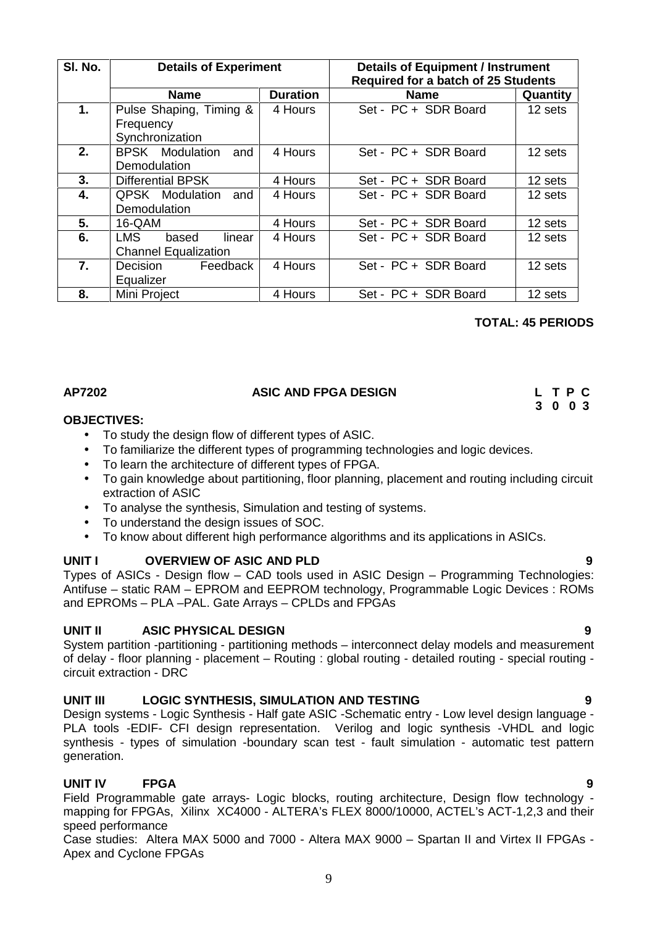9

| SI. No. | <b>Details of Experiment</b>                            |                 | Details of Equipment / Instrument<br><b>Required for a batch of 25 Students</b> |          |  |  |  |
|---------|---------------------------------------------------------|-----------------|---------------------------------------------------------------------------------|----------|--|--|--|
|         | <b>Name</b>                                             | <b>Duration</b> | <b>Name</b>                                                                     | Quantity |  |  |  |
| 1.      | Pulse Shaping, Timing &<br>Frequency<br>Synchronization | 4 Hours         | Set - PC + SDR Board                                                            | 12 sets  |  |  |  |
| 2.      | <b>BPSK</b> Modulation<br>and<br><b>Demodulation</b>    | 4 Hours         | Set - PC + SDR Board                                                            | 12 sets  |  |  |  |
| 3.      | <b>Differential BPSK</b>                                | 4 Hours         | Set - PC + SDR Board                                                            | 12 sets  |  |  |  |
| 4.      | <b>QPSK</b> Modulation<br>and<br>Demodulation           | 4 Hours         | Set - PC + SDR Board                                                            | 12 sets  |  |  |  |
| 5.      | 16-QAM                                                  | 4 Hours         | Set - PC + SDR Board                                                            | 12 sets  |  |  |  |
| 6.      | LMS.<br>based<br>linear<br><b>Channel Equalization</b>  | 4 Hours         | Set - PC + SDR Board                                                            | 12 sets  |  |  |  |
| 7.      | Feedback<br>Decision<br>Equalizer                       | 4 Hours         | Set - PC + SDR Board                                                            | 12 sets  |  |  |  |
| 8.      | Mini Project                                            | 4 Hours         | Set - PC + SDR Board                                                            | 12 sets  |  |  |  |

# **TOTAL: 45 PERIODS**

**3 0 0 3**

# **AP7202 ASIC AND FPGA DESIGN L T P C**

### **OBJECTIVES:**

- To study the design flow of different types of ASIC.
- To familiarize the different types of programming technologies and logic devices.
- To learn the architecture of different types of FPGA.
- To gain knowledge about partitioning, floor planning, placement and routing including circuit extraction of ASIC
- To analyse the synthesis, Simulation and testing of systems.
- To understand the design issues of SOC.
- To know about different high performance algorithms and its applications in ASICs.

# **UNIT I OVERVIEW OF ASIC AND PLD 9**

Types of ASICs - Design flow – CAD tools used in ASIC Design – Programming Technologies: Antifuse – static RAM – EPROM and EEPROM technology, Programmable Logic Devices : ROMs and EPROMs – PLA –PAL. Gate Arrays – CPLDs and FPGAs

# **UNIT II ASIC PHYSICAL DESIGN 9**

System partition -partitioning - partitioning methods – interconnect delay models and measurement of delay - floor planning - placement – Routing : global routing - detailed routing - special routing circuit extraction - DRC

# **UNIT III LOGIC SYNTHESIS, SIMULATION AND TESTING 9**

Design systems - Logic Synthesis - Half gate ASIC -Schematic entry - Low level design language - PLA tools -EDIF- CFI design representation. Verilog and logic synthesis -VHDL and logic synthesis - types of simulation -boundary scan test - fault simulation - automatic test pattern generation.

# **UNIT IV FPGA 9**

Field Programmable gate arrays- Logic blocks, routing architecture, Design flow technology mapping for FPGAs, Xilinx XC4000 - ALTERA's FLEX 8000/10000, ACTEL's ACT-1,2,3 and their speed performance

Case studies: Altera MAX 5000 and 7000 - Altera MAX 9000 – Spartan II and Virtex II FPGAs - Apex and Cyclone FPGAs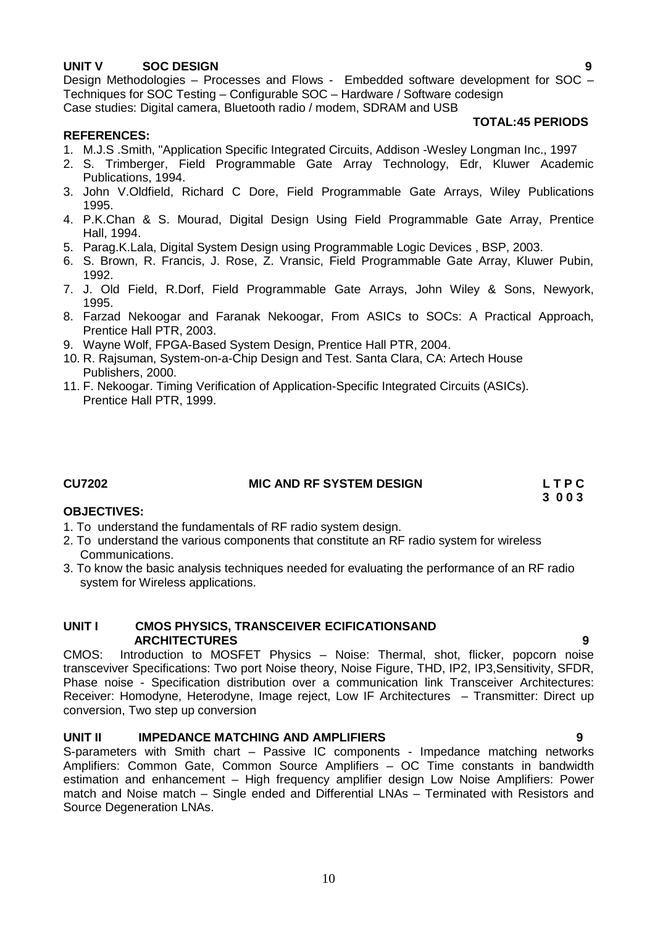# **UNIT V SOC DESIGN 9**

Design Methodologies – Processes and Flows - Embedded software development for SOC – Techniques for SOC Testing – Configurable SOC – Hardware / Software codesign Case studies: Digital camera, Bluetooth radio / modem, SDRAM and USB

### **TOTAL:45 PERIODS**

### **REFERENCES:**

- 1. M.J.S .Smith, "Application Specific Integrated Circuits, Addison -Wesley Longman Inc., 1997
- 2. S. Trimberger, Field Programmable Gate Array Technology, Edr, Kluwer Academic Publications, 1994.
- 3. John V.Oldfield, Richard C Dore, Field Programmable Gate Arrays, Wiley Publications 1995.
- 4. P.K.Chan & S. Mourad, Digital Design Using Field Programmable Gate Array, Prentice Hall, 1994.
- 5. Parag.K.Lala, Digital System Design using Programmable Logic Devices , BSP, 2003.
- 6. S. Brown, R. Francis, J. Rose, Z. Vransic, Field Programmable Gate Array, Kluwer Pubin, 1992.
- 7. J. Old Field, R.Dorf, Field Programmable Gate Arrays, John Wiley & Sons, Newyork, 1995.
- 8. Farzad Nekoogar and Faranak Nekoogar, From ASICs to SOCs: A Practical Approach, Prentice Hall PTR, 2003.
- 9. Wayne Wolf, FPGA-Based System Design, Prentice Hall PTR, 2004.
- 10. R. Rajsuman, System-on-a-Chip Design and Test. Santa Clara, CA: Artech House Publishers, 2000.
- 11. F. Nekoogar. Timing Verification of Application-Specific Integrated Circuits (ASICs). Prentice Hall PTR, 1999.

### **CU7202 MIC AND RF SYSTEM DESIGN L T P C**

**3 0 0 3**

### **OBJECTIVES:**

- 1. To understand the fundamentals of RF radio system design.
- 2. To understand the various components that constitute an RF radio system for wireless Communications.
- 3. To know the basic analysis techniques needed for evaluating the performance of an RF radio system for Wireless applications.

### **UNIT I CMOS PHYSICS, TRANSCEIVER ECIFICATIONSAND ARCHITECTURES 9**

CMOS: Introduction to MOSFET Physics – Noise: Thermal, shot, flicker, popcorn noise transceviver Specifications: Two port Noise theory, Noise Figure, THD, IP2, IP3,Sensitivity, SFDR, Phase noise - Specification distribution over a communication link Transceiver Architectures: Receiver: Homodyne, Heterodyne, Image reject, Low IF Architectures – Transmitter: Direct up conversion, Two step up conversion

### **UNIT II IMPEDANCE MATCHING AND AMPLIFIERS 9**

S-parameters with Smith chart – Passive IC components - Impedance matching networks Amplifiers: Common Gate, Common Source Amplifiers – OC Time constants in bandwidth estimation and enhancement – High frequency amplifier design Low Noise Amplifiers: Power match and Noise match – Single ended and Differential LNAs – Terminated with Resistors and Source Degeneration LNAs.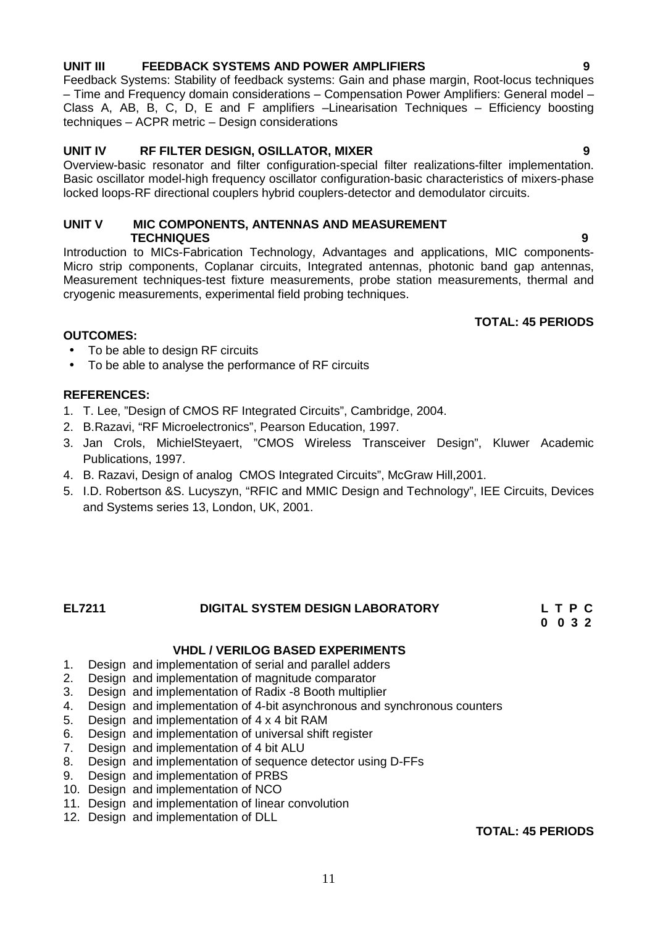# **UNIT III FEEDBACK SYSTEMS AND POWER AMPLIFIERS 9**

Feedback Systems: Stability of feedback systems: Gain and phase margin, Root-locus techniques – Time and Frequency domain considerations – Compensation Power Amplifiers: General model – Class A, AB, B, C, D, E and F amplifiers –Linearisation Techniques – Efficiency boosting techniques – ACPR metric – Design considerations

### **UNIT IV RF FILTER DESIGN, OSILLATOR, MIXER 9**

Overview-basic resonator and filter configuration-special filter realizations-filter implementation. Basic oscillator model-high frequency oscillator configuration-basic characteristics of mixers-phase locked loops-RF directional couplers hybrid couplers-detector and demodulator circuits.

# **UNIT V MIC COMPONENTS, ANTENNAS AND MEASUREMENT TECHNIQUES 9**

Introduction to MICs-Fabrication Technology, Advantages and applications, MIC components- Micro strip components, Coplanar circuits, Integrated antennas, photonic band gap antennas, Measurement techniques-test fixture measurements, probe station measurements, thermal and cryogenic measurements, experimental field probing techniques.

# **TOTAL: 45 PERIODS**

# **OUTCOMES:**

- To be able to design RF circuits
- To be able to analyse the performance of RF circuits

# **REFERENCES:**

- 1. T. Lee, "Design of CMOS RF Integrated Circuits", Cambridge, 2004.
- 2. B.Razavi, "RF Microelectronics", Pearson Education, 1997.
- 3. Jan Crols, MichielSteyaert, "CMOS Wireless Transceiver Design", Kluwer Academic Publications, 1997.
- 4. B. Razavi, Design of analog CMOS Integrated Circuits", McGraw Hill,2001.
- 5. I.D. Robertson &S. Lucyszyn, "RFIC and MMIC Design and Technology", IEE Circuits, Devices and Systems series 13, London, UK, 2001.

### **EL7211 DIGITAL SYSTEM DESIGN LABORATORY L T P C 0 0 3 2**

# **VHDL / VERILOG BASED EXPERIMENTS**

- 1. Design and implementation of serial and parallel adders
- 2. Design and implementation of magnitude comparator
- 3. Design and implementation of Radix -8 Booth multiplier<br>4. Design and implementation of 4-bit asynchronous and s
- Design and implementation of 4-bit asynchronous and synchronous counters
- 5. Design and implementation of 4 x 4 bit RAM
- 6. Design and implementation of universal shift register
- 7. Design and implementation of 4 bit ALU
- 8. Design and implementation of sequence detector using D-FFs
- 9. Design and implementation of PRBS
- 10. Design and implementation of NCO
- 11. Design and implementation of linear convolution
- 12. Design and implementation of DLL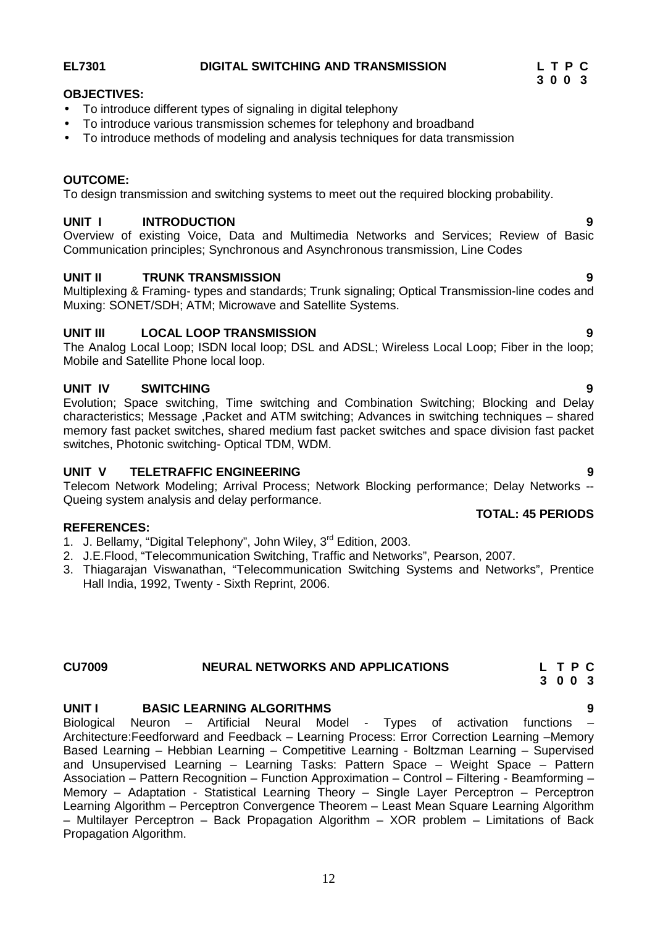# **EL7301 DIGITAL SWITCHING AND TRANSMISSION L T P C**

# **OBJECTIVES:**

- To introduce different types of signaling in digital telephony
- To introduce various transmission schemes for telephony and broadband
- To introduce methods of modeling and analysis techniques for data transmission

# **OUTCOME:**

To design transmission and switching systems to meet out the required blocking probability.

# **UNIT I INTRODUCTION 9**

Overview of existing Voice, Data and Multimedia Networks and Services; Review of Basic Communication principles; Synchronous and Asynchronous transmission, Line Codes

# **UNIT II TRUNK TRANSMISSION 9**

Multiplexing & Framing- types and standards; Trunk signaling; Optical Transmission-line codes and Muxing: SONET/SDH; ATM; Microwave and Satellite Systems.

# **UNIT III LOCAL LOOP TRANSMISSION 9**

The Analog Local Loop; ISDN local loop; DSL and ADSL; Wireless Local Loop; Fiber in the loop; Mobile and Satellite Phone local loop.

# **UNIT IV SWITCHING 9**

Evolution; Space switching, Time switching and Combination Switching; Blocking and Delay characteristics; Message ,Packet and ATM switching; Advances in switching techniques – shared memory fast packet switches, shared medium fast packet switches and space division fast packet switches, Photonic switching- Optical TDM, WDM.

# **UNIT V TELETRAFFIC ENGINEERING 9**

Telecom Network Modeling; Arrival Process; Network Blocking performance; Delay Networks -- Queing system analysis and delay performance. **TOTAL: 45 PERIODS**

# **REFERENCES:**

- 1. J. Bellamy, "Digital Telephony", John Wiley, 3<sup>rd</sup> Edition, 2003.
- 2. J.E.Flood, "Telecommunication Switching, Traffic and Networks", Pearson, 2007.
- 3. Thiagarajan Viswanathan, "Telecommunication Switching Systems and Networks", Prentice Hall India, 1992, Twenty - Sixth Reprint, 2006.

### **CU7009 NEURAL NETWORKS AND APPLICATIONS L T P C 3 0 0 3**

# **UNIT I BASIC LEARNING ALGORITHMS 9**

Biological Neuron – Artificial Neural Model - Types of activation functions – Architecture:Feedforward and Feedback – Learning Process: Error Correction Learning –Memory Based Learning – Hebbian Learning – Competitive Learning - Boltzman Learning – Supervised and Unsupervised Learning – Learning Tasks: Pattern Space – Weight Space – Pattern Association – Pattern Recognition – Function Approximation – Control – Filtering - Beamforming – Memory – Adaptation - Statistical Learning Theory – Single Layer Perceptron – Perceptron Learning Algorithm – Perceptron Convergence Theorem – Least Mean Square Learning Algorithm – Multilayer Perceptron – Back Propagation Algorithm – XOR problem – Limitations of Back Propagation Algorithm.

- 
-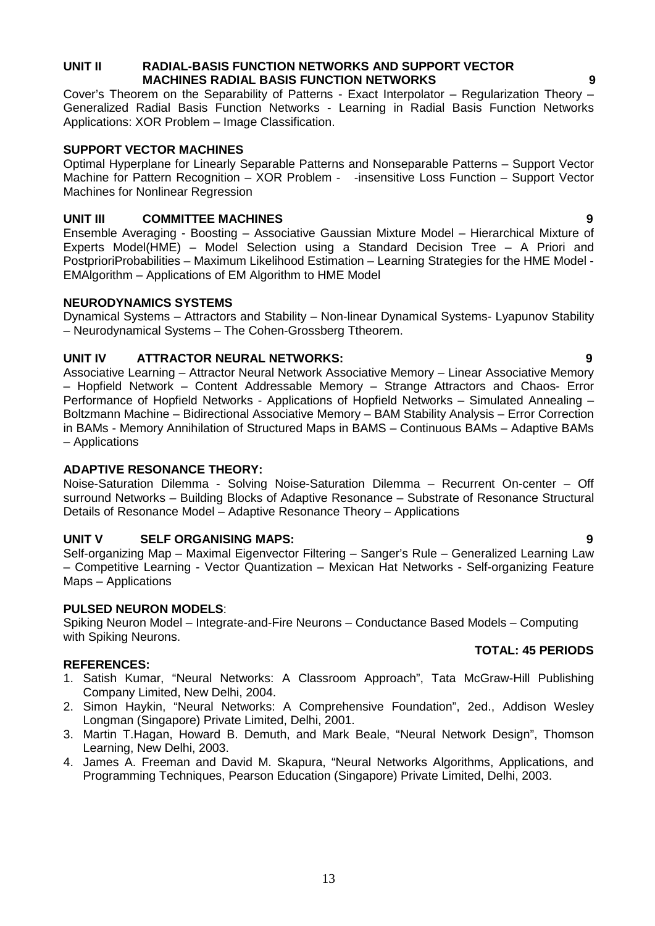### **UNIT II RADIAL-BASIS FUNCTION NETWORKS AND SUPPORT VECTOR MACHINES RADIAL BASIS FUNCTION NETWORKS 9**

Cover's Theorem on the Separability of Patterns - Exact Interpolator – Regularization Theory – Generalized Radial Basis Function Networks - Learning in Radial Basis Function Networks Applications: XOR Problem – Image Classification.

# **SUPPORT VECTOR MACHINES**

Optimal Hyperplane for Linearly Separable Patterns and Nonseparable Patterns – Support Vector Machine for Pattern Recognition – XOR Problem - -insensitive Loss Function – Support Vector Machines for Nonlinear Regression

# **UNIT III COMMITTEE MACHINES 9**

Ensemble Averaging - Boosting – Associative Gaussian Mixture Model – Hierarchical Mixture of Experts Model(HME) – Model Selection using a Standard Decision Tree – A Priori and PostprioriProbabilities – Maximum Likelihood Estimation – Learning Strategies for the HME Model - EMAlgorithm – Applications of EM Algorithm to HME Model

# **NEURODYNAMICS SYSTEMS**

Dynamical Systems – Attractors and Stability – Non-linear Dynamical Systems- Lyapunov Stability – Neurodynamical Systems – The Cohen-Grossberg Ttheorem.

# **UNIT IV ATTRACTOR NEURAL NETWORKS: 9**

Associative Learning – Attractor Neural Network Associative Memory – Linear Associative Memory – Hopfield Network – Content Addressable Memory – Strange Attractors and Chaos- Error Performance of Hopfield Networks - Applications of Hopfield Networks – Simulated Annealing – Boltzmann Machine – Bidirectional Associative Memory – BAM Stability Analysis – Error Correction in BAMs - Memory Annihilation of Structured Maps in BAMS – Continuous BAMs – Adaptive BAMs – Applications

# **ADAPTIVE RESONANCE THEORY:**

Noise-Saturation Dilemma - Solving Noise-Saturation Dilemma – Recurrent On-center – Off surround Networks – Building Blocks of Adaptive Resonance – Substrate of Resonance Structural Details of Resonance Model – Adaptive Resonance Theory – Applications

# **UNIT V SELF ORGANISING MAPS: 9**

Self-organizing Map – Maximal Eigenvector Filtering – Sanger's Rule – Generalized Learning Law – Competitive Learning - Vector Quantization – Mexican Hat Networks - Self-organizing Feature Maps – Applications

# **PULSED NEURON MODELS**:

Spiking Neuron Model – Integrate-and-Fire Neurons – Conductance Based Models – Computing with Spiking Neurons.

# **REFERENCES:**

- 1. Satish Kumar, "Neural Networks: A Classroom Approach", Tata McGraw-Hill Publishing Company Limited, New Delhi, 2004.
- 2. Simon Haykin, "Neural Networks: A Comprehensive Foundation", 2ed., Addison Wesley Longman (Singapore) Private Limited, Delhi, 2001.
- 3. Martin T.Hagan, Howard B. Demuth, and Mark Beale, "Neural Network Design", Thomson Learning, New Delhi, 2003.
- 4. James A. Freeman and David M. Skapura, "Neural Networks Algorithms, Applications, and Programming Techniques, Pearson Education (Singapore) Private Limited, Delhi, 2003.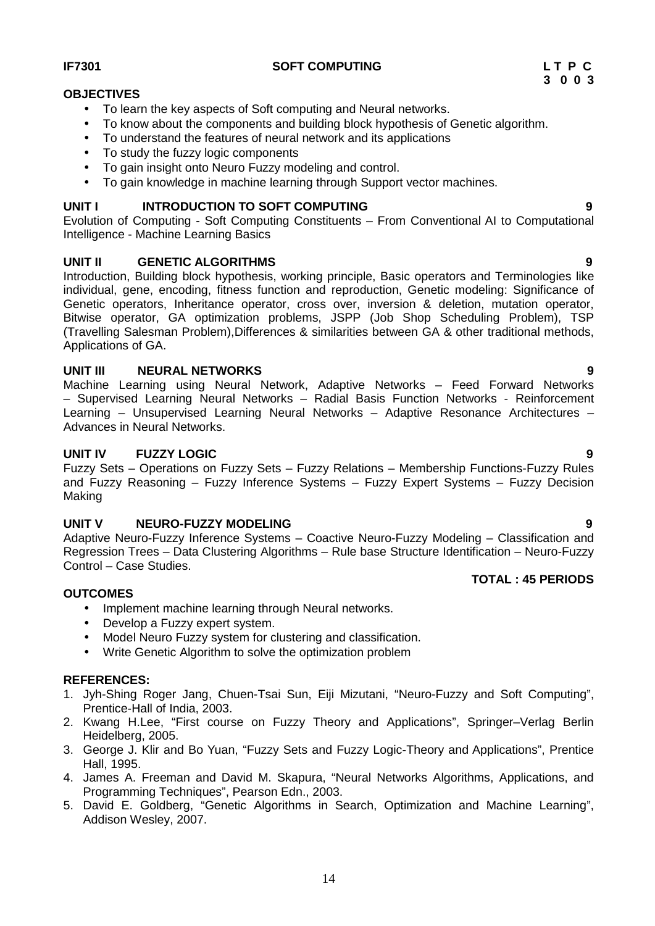### 14

# **IF7301 SOFT COMPUTING L T P C**

# **OBJECTIVES**

- To learn the key aspects of Soft computing and Neural networks.
- To know about the components and building block hypothesis of Genetic algorithm.
- To understand the features of neural network and its applications
- To study the fuzzy logic components
- To gain insight onto Neuro Fuzzy modeling and control.
- To gain knowledge in machine learning through Support vector machines.

# **UNIT I INTRODUCTION TO SOFT COMPUTING 9**

Evolution of Computing - Soft Computing Constituents – From Conventional AI to Computational Intelligence - Machine Learning Basics

# **UNIT II GENETIC ALGORITHMS 9**

Introduction, Building block hypothesis, working principle, Basic operators and Terminologies like individual, gene, encoding, fitness function and reproduction, Genetic modeling: Significance of Genetic operators, Inheritance operator, cross over, inversion & deletion, mutation operator, Bitwise operator, GA optimization problems, JSPP (Job Shop Scheduling Problem), TSP (Travelling Salesman Problem),Differences & similarities between GA & other traditional methods, Applications of GA.

# **UNIT III NEURAL NETWORKS 9**

Machine Learning using Neural Network, Adaptive Networks – Feed Forward Networks – Supervised Learning Neural Networks – Radial Basis Function Networks - Reinforcement Learning – Unsupervised Learning Neural Networks – Adaptive Resonance Architectures – Advances in Neural Networks.

# **UNIT IV FUZZY LOGIC 9**

Fuzzy Sets – Operations on Fuzzy Sets – Fuzzy Relations – Membership Functions-Fuzzy Rules and Fuzzy Reasoning – Fuzzy Inference Systems – Fuzzy Expert Systems – Fuzzy Decision Making

### **UNIT V NEURO-FUZZY MODELING 9**

Adaptive Neuro-Fuzzy Inference Systems – Coactive Neuro-Fuzzy Modeling – Classification and Regression Trees – Data Clustering Algorithms – Rule base Structure Identification – Neuro-Fuzzy Control – Case Studies. **TOTAL : 45 PERIODS**

### **OUTCOMES**

- Implement machine learning through Neural networks.
- Develop a Fuzzy expert system.
- Model Neuro Fuzzy system for clustering and classification.
- Write Genetic Algorithm to solve the optimization problem

### **REFERENCES:**

- 1. Jyh-Shing Roger Jang, Chuen-Tsai Sun, Eiji Mizutani, "Neuro-Fuzzy and Soft Computing", Prentice-Hall of India, 2003.
- 2. Kwang H.Lee, "First course on Fuzzy Theory and Applications", Springer–Verlag Berlin Heidelberg, 2005.
- 3. George J. Klir and Bo Yuan, "Fuzzy Sets and Fuzzy Logic-Theory and Applications", Prentice Hall, 1995.
- 4. James A. Freeman and David M. Skapura, "Neural Networks Algorithms, Applications, and Programming Techniques", Pearson Edn., 2003.
- 5. David E. Goldberg, "Genetic Algorithms in Search, Optimization and Machine Learning", Addison Wesley, 2007.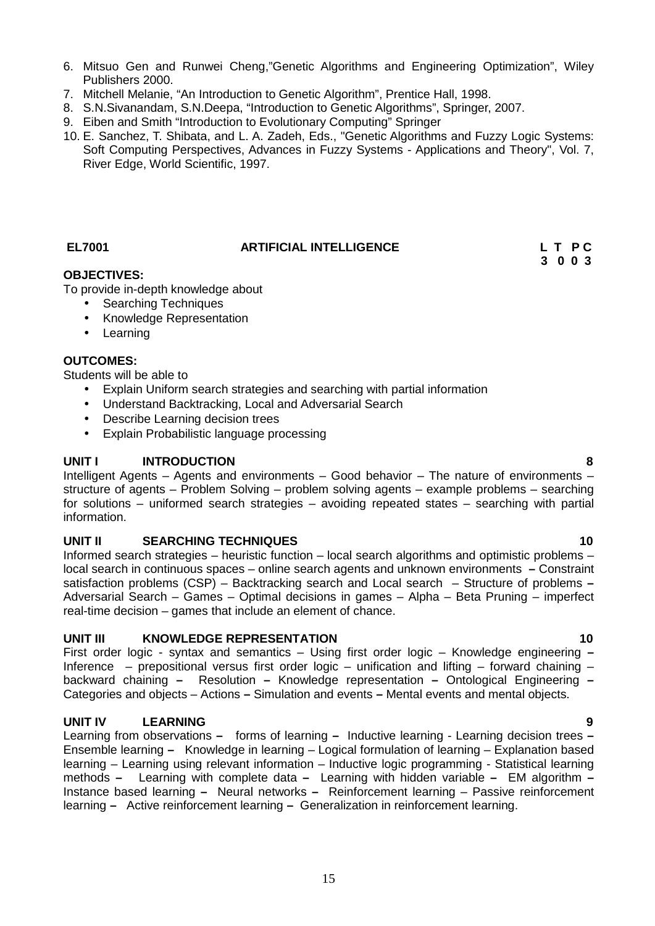- 7. Mitchell Melanie, "An Introduction to Genetic Algorithm", Prentice Hall, 1998.
- 8. S.N.Sivanandam, S.N.Deepa, "Introduction to Genetic Algorithms", Springer, 2007.
- 9. Eiben and Smith "Introduction to Evolutionary Computing" Springer
- 10. E. Sanchez, T. Shibata, and L. A. Zadeh, Eds., "Genetic Algorithms and Fuzzy Logic Systems: Soft Computing Perspectives, Advances in Fuzzy Systems - Applications and Theory", Vol. 7, River Edge, World Scientific, 1997.

# **EL7001 ARTIFICIAL INTELLIGENCE L T P C**

**3 0 0 3**

# **OBJECTIVES:**

To provide in-depth knowledge about

- Searching Techniques
- Knowledge Representation
- Learning

### **OUTCOMES:**

Students will be able to

- Explain Uniform search strategies and searching with partial information
- Understand Backtracking, Local and Adversarial Search
- Describe Learning decision trees
- Explain Probabilistic language processing

### **UNIT I INTRODUCTION 8**

Intelligent Agents – Agents and environments – Good behavior – The nature of environments – structure of agents – Problem Solving – problem solving agents – example problems – searching for solutions – uniformed search strategies – avoiding repeated states – searching with partial information.

### **UNIT II SEARCHING TECHNIQUES 10**

Informed search strategies – heuristic function – local search algorithms and optimistic problems – local search in continuous spaces – online search agents and unknown environments **–** Constraint satisfaction problems (CSP) – Backtracking search and Local search – Structure of problems **–** Adversarial Search – Games – Optimal decisions in games – Alpha – Beta Pruning – imperfect real-time decision – games that include an element of chance.

### **UNIT III KNOWLEDGE REPRESENTATION 10**

First order logic - syntax and semantics – Using first order logic – Knowledge engineering **–** Inference – prepositional versus first order logic – unification and lifting – forward chaining – backward chaining **–** Resolution **–** Knowledge representation **–** Ontological Engineering **–** Categories and objects – Actions **–** Simulation and events **–** Mental events and mental objects.

# **UNIT IV LEARNING 9**

Learning from observations **–** forms of learning **–** Inductive learning - Learning decision trees **–** Ensemble learning **–** Knowledge in learning – Logical formulation of learning – Explanation based learning – Learning using relevant information – Inductive logic programming - Statistical learning methods **–** Learning with complete data **–** Learning with hidden variable **–** EM algorithm **–** Instance based learning **–** Neural networks **–** Reinforcement learning – Passive reinforcement learning **–** Active reinforcement learning **–** Generalization in reinforcement learning.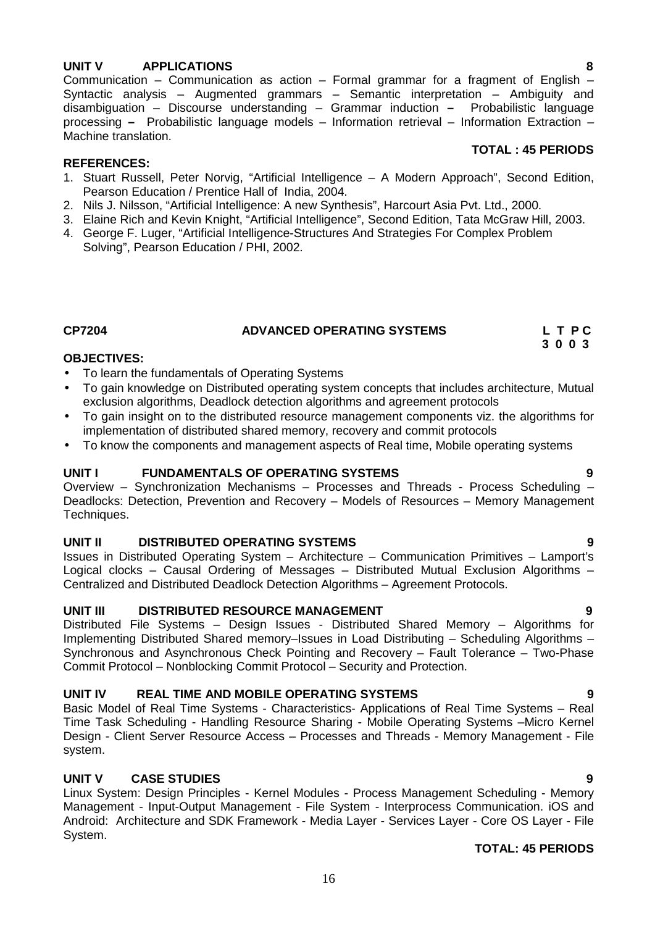# **UNIT V APPLICATIONS 8**

Communication – Communication as action – Formal grammar for a fragment of English – Syntactic analysis – Augmented grammars – Semantic interpretation – Ambiguity and disambiguation – Discourse understanding – Grammar induction **–** Probabilistic language processing **–** Probabilistic language models – Information retrieval – Information Extraction – Machine translation.

### **REFERENCES:**

- 1. Stuart Russell, Peter Norvig, "Artificial Intelligence A Modern Approach", Second Edition, Pearson Education / Prentice Hall of India, 2004.
- 2. Nils J. Nilsson, "Artificial Intelligence: A new Synthesis", Harcourt Asia Pvt. Ltd., 2000.
- 3. Elaine Rich and Kevin Knight, "Artificial Intelligence", Second Edition, Tata McGraw Hill, 2003.
- 4. George F. Luger, "Artificial Intelligence-Structures And Strategies For Complex Problem Solving", Pearson Education / PHI, 2002.

### **CP7204 ADVANCED OPERATING SYSTEMS L T P C**

### **OBJECTIVES:**

- To learn the fundamentals of Operating Systems
- To gain knowledge on Distributed operating system concepts that includes architecture, Mutual exclusion algorithms, Deadlock detection algorithms and agreement protocols
- To gain insight on to the distributed resource management components viz. the algorithms for implementation of distributed shared memory, recovery and commit protocols
- To know the components and management aspects of Real time, Mobile operating systems

### **UNIT I FUNDAMENTALS OF OPERATING SYSTEMS 9**

Overview – Synchronization Mechanisms – Processes and Threads - Process Scheduling – Deadlocks: Detection, Prevention and Recovery – Models of Resources – Memory Management Techniques.

### **UNIT II DISTRIBUTED OPERATING SYSTEMS 9**

Issues in Distributed Operating System – Architecture – Communication Primitives – Lamport's Logical clocks – Causal Ordering of Messages – Distributed Mutual Exclusion Algorithms – Centralized and Distributed Deadlock Detection Algorithms – Agreement Protocols.

### **UNIT III DISTRIBUTED RESOURCE MANAGEMENT 9**

Distributed File Systems – Design Issues - Distributed Shared Memory – Algorithms for Implementing Distributed Shared memory–Issues in Load Distributing – Scheduling Algorithms – Synchronous and Asynchronous Check Pointing and Recovery – Fault Tolerance – Two-Phase Commit Protocol – Nonblocking Commit Protocol – Security and Protection.

### **UNIT IV REAL TIME AND MOBILE OPERATING SYSTEMS 9**

Basic Model of Real Time Systems - Characteristics- Applications of Real Time Systems – Real Time Task Scheduling - Handling Resource Sharing - Mobile Operating Systems –Micro Kernel Design - Client Server Resource Access – Processes and Threads - Memory Management - File system.

# **UNIT V CASE STUDIES 9**

Linux System: Design Principles - Kernel Modules - Process Management Scheduling - Memory Management - Input-Output Management - File System - Interprocess Communication. iOS and Android: Architecture and SDK Framework - Media Layer - Services Layer - Core OS Layer - File System.

# **TOTAL: 45 PERIODS**

# **TOTAL : 45 PERIODS**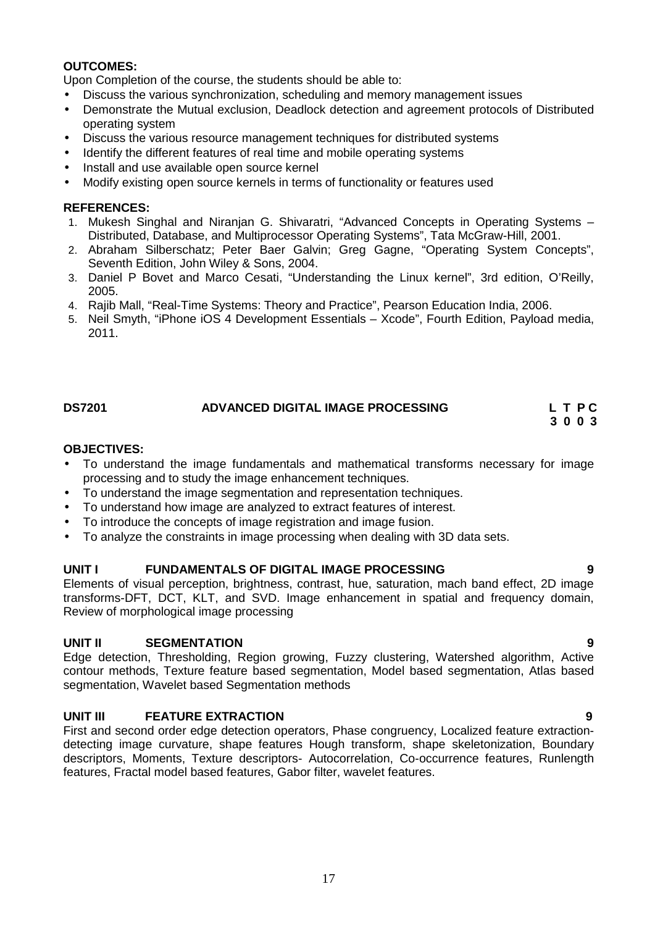# **OUTCOMES:**

Upon Completion of the course, the students should be able to:

- Discuss the various synchronization, scheduling and memory management issues
- Demonstrate the Mutual exclusion, Deadlock detection and agreement protocols of Distributed operating system
- Discuss the various resource management techniques for distributed systems
- Identify the different features of real time and mobile operating systems
- Install and use available open source kernel
- Modify existing open source kernels in terms of functionality or features used

# **REFERENCES:**

- 1. Mukesh Singhal and Niranjan G. Shivaratri, "Advanced Concepts in Operating Systems Distributed, Database, and Multiprocessor Operating Systems", Tata McGraw-Hill, 2001.
- 2. Abraham Silberschatz; Peter Baer Galvin; Greg Gagne, "Operating System Concepts", Seventh Edition, John Wiley & Sons, 2004.
- 3. Daniel P Bovet and Marco Cesati, "Understanding the Linux kernel", 3rd edition, O'Reilly, 2005.
- 4. Rajib Mall, "Real-Time Systems: Theory and Practice", Pearson Education India, 2006.
- 5. Neil Smyth, "iPhone iOS 4 Development Essentials Xcode", Fourth Edition, Payload media, 2011.

# **DS7201 ADVANCED DIGITAL IMAGE PROCESSING L T P C**

### **3 0 0 3**

# **OBJECTIVES:**

- To understand the image fundamentals and mathematical transforms necessary for image processing and to study the image enhancement techniques.
- To understand the image segmentation and representation techniques.
- To understand how image are analyzed to extract features of interest.
- To introduce the concepts of image registration and image fusion.
- To analyze the constraints in image processing when dealing with 3D data sets.

# **UNIT I FUNDAMENTALS OF DIGITAL IMAGE PROCESSING 9**

Elements of visual perception, brightness, contrast, hue, saturation, mach band effect, 2D image transforms-DFT, DCT, KLT, and SVD. Image enhancement in spatial and frequency domain, Review of morphological image processing

# **UNIT II SEGMENTATION 9**

Edge detection, Thresholding, Region growing, Fuzzy clustering, Watershed algorithm, Active contour methods, Texture feature based segmentation, Model based segmentation, Atlas based segmentation, Wavelet based Segmentation methods

# **UNIT III FEATURE EXTRACTION 9**

First and second order edge detection operators, Phase congruency, Localized feature extraction detecting image curvature, shape features Hough transform, shape skeletonization, Boundary descriptors, Moments, Texture descriptors- Autocorrelation, Co-occurrence features, Runlength features, Fractal model based features, Gabor filter, wavelet features.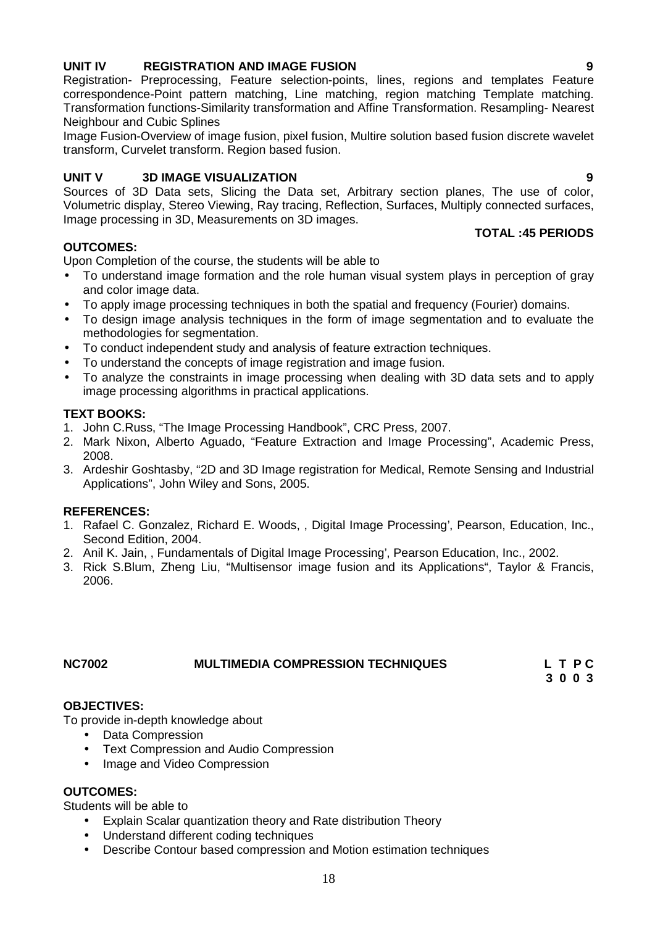18

# **UNIT IV REGISTRATION AND IMAGE FUSION 9**

Registration- Preprocessing, Feature selection-points, lines, regions and templates Feature correspondence-Point pattern matching, Line matching, region matching Template matching. Transformation functions-Similarity transformation and Affine Transformation. Resampling- Nearest Neighbour and Cubic Splines

Image Fusion-Overview of image fusion, pixel fusion, Multire solution based fusion discrete wavelet transform, Curvelet transform. Region based fusion.

# **UNIT V 3D IMAGE VISUALIZATION 9**

Sources of 3D Data sets, Slicing the Data set, Arbitrary section planes, The use of color, Volumetric display, Stereo Viewing, Ray tracing, Reflection, Surfaces, Multiply connected surfaces, Image processing in 3D, Measurements on 3D images.

### **OUTCOMES:**

Upon Completion of the course, the students will be able to

- To understand image formation and the role human visual system plays in perception of gray and color image data.
- To apply image processing techniques in both the spatial and frequency (Fourier) domains.
- To design image analysis techniques in the form of image segmentation and to evaluate the methodologies for segmentation.
- To conduct independent study and analysis of feature extraction techniques.
- To understand the concepts of image registration and image fusion.
- To analyze the constraints in image processing when dealing with 3D data sets and to apply image processing algorithms in practical applications.

### **TEXT BOOKS:**

- 1. John C.Russ, "The Image Processing Handbook", CRC Press, 2007.
- 2. Mark Nixon, Alberto Aguado, "Feature Extraction and Image Processing", Academic Press, 2008.
- 3. Ardeshir Goshtasby, "2D and 3D Image registration for Medical, Remote Sensing and Industrial Applications", John Wiley and Sons, 2005.

### **REFERENCES:**

- 1. Rafael C. Gonzalez, Richard E. Woods, , Digital Image Processing', Pearson, Education, Inc., Second Edition, 2004.
- 2. Anil K. Jain, , Fundamentals of Digital Image Processing', Pearson Education, Inc., 2002.
- 3. Rick S.Blum, Zheng Liu, "Multisensor image fusion and its Applications", Taylor & Francis, 2006.

# **NC7002 MULTIMEDIA COMPRESSION TECHNIQUES L T P C**

## **OBJECTIVES:**

To provide in-depth knowledge about

- Data Compression
- Text Compression and Audio Compression
- Image and Video Compression

### **OUTCOMES:**

Students will be able to

- Explain Scalar quantization theory and Rate distribution Theory
- Understand different coding techniques
- Describe Contour based compression and Motion estimation techniques

**3 0 0 3**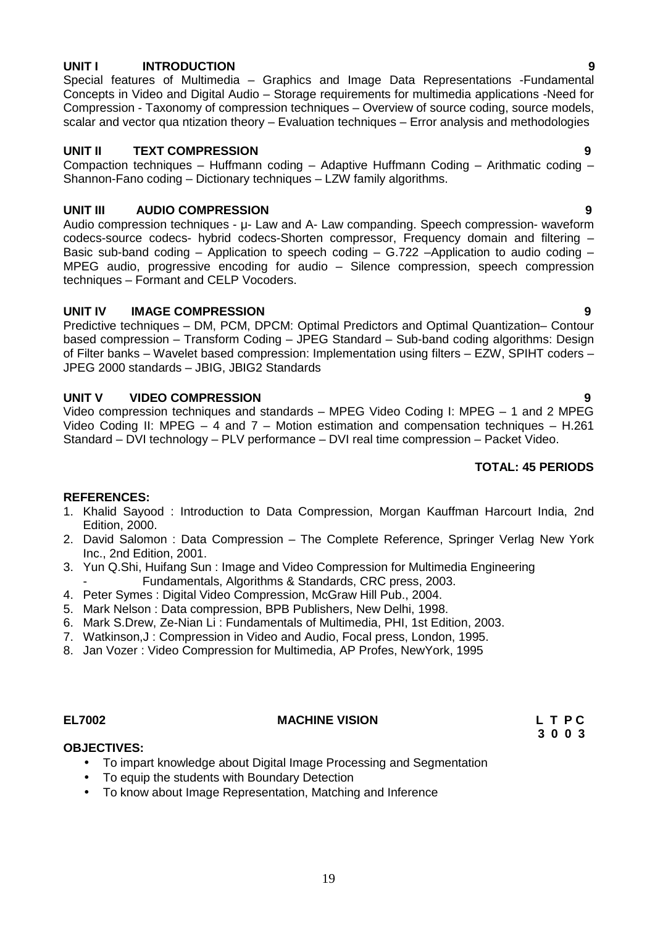### **UNIT I INTRODUCTION 9**

Special features of Multimedia – Graphics and Image Data Representations -Fundamental Concepts in Video and Digital Audio – Storage requirements for multimedia applications -Need for Compression - Taxonomy of compression techniques – Overview of source coding, source models, scalar and vector qua ntization theory – Evaluation techniques – Error analysis and methodologies

# **UNIT II TEXT COMPRESSION 9**

Compaction techniques – Huffmann coding – Adaptive Huffmann Coding – Arithmatic coding – Shannon-Fano coding – Dictionary techniques – LZW family algorithms.

# **UNIT III AUDIO COMPRESSION 9**

Audio compression techniques - μ- Law and A- Law companding. Speech compression- waveform codecs-source codecs- hybrid codecs-Shorten compressor, Frequency domain and filtering – Basic sub-band coding – Application to speech coding – G.722 –Application to audio coding – MPEG audio, progressive encoding for audio – Silence compression, speech compression techniques – Formant and CELP Vocoders.

# **UNIT IV IMAGE COMPRESSION 9**

Predictive techniques – DM, PCM, DPCM: Optimal Predictors and Optimal Quantization– Contour based compression – Transform Coding – JPEG Standard – Sub-band coding algorithms: Design of Filter banks – Wavelet based compression: Implementation using filters – EZW, SPIHT coders – JPEG 2000 standards – JBIG, JBIG2 Standards

# **UNIT V VIDEO COMPRESSION 9**

Video compression techniques and standards – MPEG Video Coding I: MPEG – 1 and 2 MPEG Video Coding II: MPEG – 4 and  $7$  – Motion estimation and compensation techniques – H.261 Standard – DVI technology – PLV performance – DVI real time compression – Packet Video.

# **TOTAL: 45 PERIODS**

# **REFERENCES:**

- 1. Khalid Sayood : Introduction to Data Compression, Morgan Kauffman Harcourt India, 2nd Edition, 2000.
- 2. David Salomon : Data Compression The Complete Reference, Springer Verlag New York Inc., 2nd Edition, 2001.
- 3. Yun Q.Shi, Huifang Sun : Image and Video Compression for Multimedia Engineering Fundamentals, Algorithms & Standards, CRC press, 2003.
- 4. Peter Symes : Digital Video Compression, McGraw Hill Pub., 2004.
- 5. Mark Nelson : Data compression, BPB Publishers, New Delhi, 1998.
- 6. Mark S.Drew, Ze-Nian Li : Fundamentals of Multimedia, PHI, 1st Edition, 2003.
- 7. Watkinson,J : Compression in Video and Audio, Focal press, London, 1995.
- 8. Jan Vozer : Video Compression for Multimedia, AP Profes, NewYork, 1995
- 

### **EL7002 MACHINE VISION L T P C**

**3 0 0 3**

### **OBJECTIVES:**

- To impart knowledge about Digital Image Processing and Segmentation
- To equip the students with Boundary Detection
- To know about Image Representation, Matching and Inference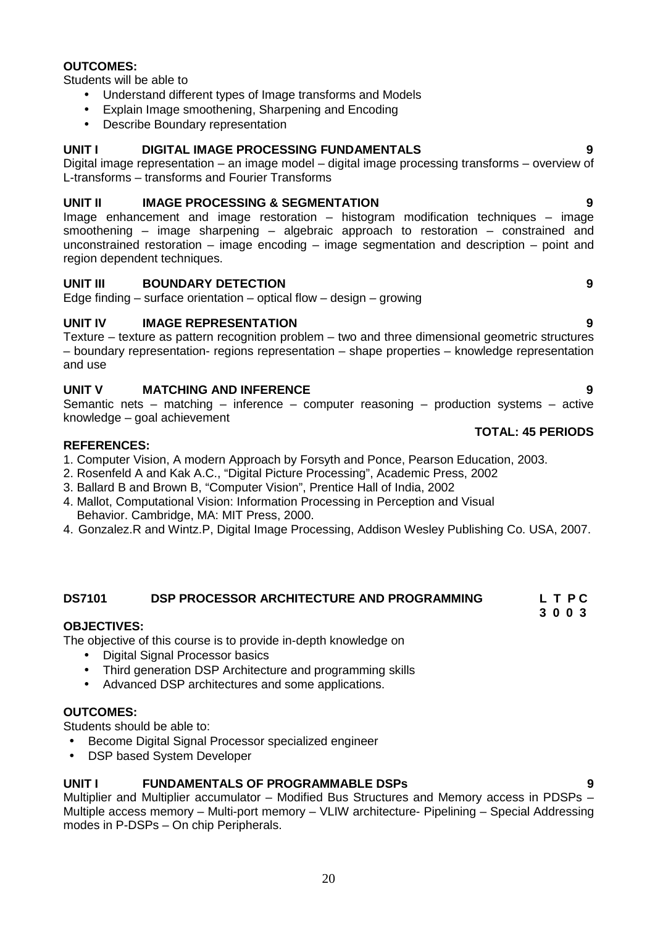# **OUTCOMES:**

Students will be able to

- Understand different types of Image transforms and Models
- Explain Image smoothening, Sharpening and Encoding
- Describe Boundary representation

# **UNIT I DIGITAL IMAGE PROCESSING FUNDAMENTALS 9**

Digital image representation – an image model – digital image processing transforms – overview of L-transforms – transforms and Fourier Transforms

# **UNIT II IMAGE PROCESSING & SEGMENTATION 9**

Image enhancement and image restoration – histogram modification techniques – image smoothening – image sharpening – algebraic approach to restoration – constrained and unconstrained restoration – image encoding – image segmentation and description – point and region dependent techniques.

### **UNIT III BOUNDARY DETECTION 9**

Edge finding  $-$  surface orientation  $-$  optical flow  $-$  design  $-$  growing

# **UNIT IV IMAGE REPRESENTATION 9**

Texture – texture as pattern recognition problem – two and three dimensional geometric structures – boundary representation- regions representation – shape properties – knowledge representation and use

# **UNIT V MATCHING AND INFERENCE 9**

Semantic nets – matching – inference – computer reasoning – production systems – active knowledge – goal achievement

### **REFERENCES:**

- 1. Computer Vision, A modern Approach by Forsyth and Ponce, Pearson Education, 2003.
- 2. Rosenfeld A and Kak A.C., "Digital Picture Processing", Academic Press, 2002
- 3. Ballard B and Brown B, "Computer Vision", Prentice Hall of India, 2002
- 4. Mallot, Computational Vision: Information Processing in Perception and Visual Behavior. Cambridge, MA: MIT Press, 2000.
- 4. Gonzalez.R and Wintz.P, Digital Image Processing, Addison Wesley Publishing Co. USA, 2007.

### **DS7101 DSP PROCESSOR ARCHITECTURE AND PROGRAMMING L T P C**

# **3 0 0 3**

# **OBJECTIVES:**

The objective of this course is to provide in-depth knowledge on

- Digital Signal Processor basics
- Third generation DSP Architecture and programming skills
- Advanced DSP architectures and some applications.

# **OUTCOMES:**

Students should be able to:

- **•** Become Digital Signal Processor specialized engineer
- DSP based System Developer

# **UNIT I FUNDAMENTALS OF PROGRAMMABLE DSPs 9**

Multiplier and Multiplier accumulator – Modified Bus Structures and Memory access in PDSPs – Multiple access memory – Multi-port memory – VLIW architecture- Pipelining – Special Addressing modes in P-DSPs – On chip Peripherals.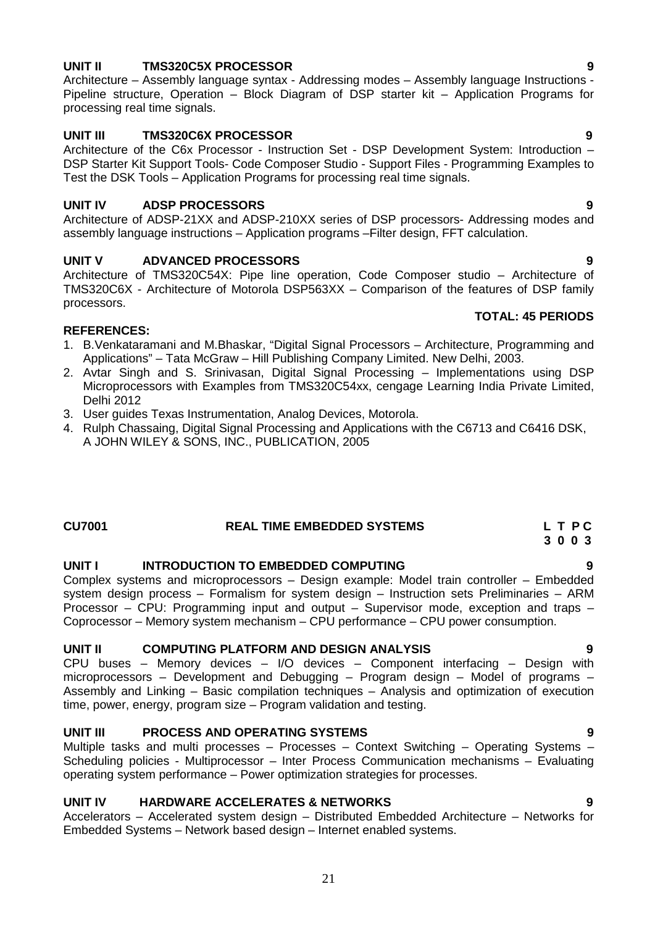# **UNIT II TMS320C5X PROCESSOR 9**

Architecture – Assembly language syntax - Addressing modes – Assembly language Instructions - Pipeline structure, Operation – Block Diagram of DSP starter kit – Application Programs for processing real time signals.

# **UNIT III TMS320C6X PROCESSOR 9**

Architecture of the C6x Processor - Instruction Set - DSP Development System: Introduction – DSP Starter Kit Support Tools- Code Composer Studio - Support Files - Programming Examples to Test the DSK Tools – Application Programs for processing real time signals.

# **UNIT IV ADSP PROCESSORS 9**

Architecture of ADSP-21XX and ADSP-210XX series of DSP processors- Addressing modes and assembly language instructions – Application programs –Filter design, FFT calculation.

# **UNIT V ADVANCED PROCESSORS 9**

Architecture of TMS320C54X: Pipe line operation, Code Composer studio – Architecture of TMS320C6X - Architecture of Motorola DSP563XX – Comparison of the features of DSP family processors.

### **REFERENCES:**

- 1. B.Venkataramani and M.Bhaskar, "Digital Signal Processors Architecture, Programming and Applications" – Tata McGraw – Hill Publishing Company Limited. New Delhi, 2003.
- 2. Avtar Singh and S. Srinivasan, Digital Signal Processing Implementations using DSP Microprocessors with Examples from TMS320C54xx, cengage Learning India Private Limited, Delhi 2012
- 3. User guides Texas Instrumentation, Analog Devices, Motorola.
- 4. Rulph Chassaing, Digital Signal Processing and Applications with the C6713 and C6416 DSK, A JOHN WILEY & SONS, INC., PUBLICATION, 2005

### **CU7001 REAL TIME EMBEDDED SYSTEMS L T P C 3 0 0 3**

# **UNIT I INTRODUCTION TO EMBEDDED COMPUTING 9**

Complex systems and microprocessors – Design example: Model train controller – Embedded system design process – Formalism for system design – Instruction sets Preliminaries – ARM Processor – CPU: Programming input and output – Supervisor mode, exception and traps – Coprocessor – Memory system mechanism – CPU performance – CPU power consumption.

### **UNIT II COMPUTING PLATFORM AND DESIGN ANALYSIS 9**

CPU buses – Memory devices – I/O devices – Component interfacing – Design with microprocessors – Development and Debugging – Program design – Model of programs – Assembly and Linking – Basic compilation techniques – Analysis and optimization of execution time, power, energy, program size – Program validation and testing.

# **UNIT III PROCESS AND OPERATING SYSTEMS 9**

Multiple tasks and multi processes – Processes – Context Switching – Operating Systems – Scheduling policies - Multiprocessor – Inter Process Communication mechanisms – Evaluating operating system performance – Power optimization strategies for processes.

# **UNIT IV HARDWARE ACCELERATES & NETWORKS 9**

Accelerators – Accelerated system design – Distributed Embedded Architecture – Networks for Embedded Systems – Network based design – Internet enabled systems.

21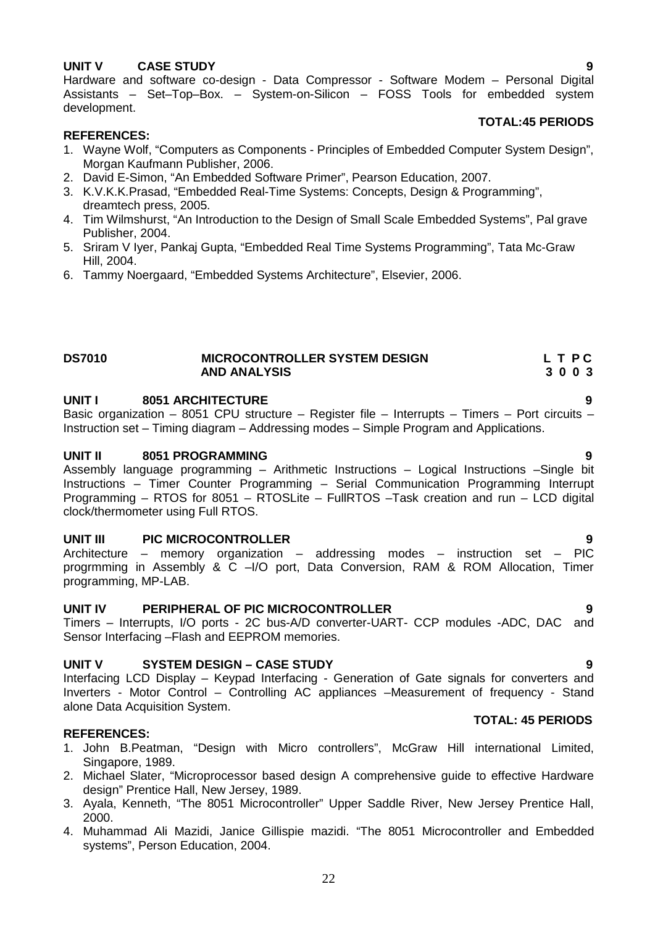# **UNIT V CASE STUDY 9**

Hardware and software co-design - Data Compressor - Software Modem – Personal Digital Assistants – Set–Top–Box. – System-on-Silicon – FOSS Tools for embedded system development.

### **TOTAL:45 PERIODS**

### **REFERENCES:**

- 1. Wayne Wolf, "Computers as Components Principles of Embedded Computer System Design", Morgan Kaufmann Publisher, 2006.
- 2. David E-Simon, "An Embedded Software Primer", Pearson Education, 2007.
- 3. K.V.K.K.Prasad, "Embedded Real-Time Systems: Concepts, Design & Programming", dreamtech press, 2005.
- 4. Tim Wilmshurst, "An Introduction to the Design of Small Scale Embedded Systems", Pal grave Publisher, 2004.
- 5. Sriram V Iyer, Pankaj Gupta, "Embedded Real Time Systems Programming", Tata Mc-Graw Hill, 2004.
- 6. Tammy Noergaard, "Embedded Systems Architecture", Elsevier, 2006.

### **DS7010 MICROCONTROLLER SYSTEM DESIGN L T P C AND ANALYSIS 3 0 0 3**

# **UNIT I 8051 ARCHITECTURE 9**

Basic organization – 8051 CPU structure – Register file – Interrupts – Timers – Port circuits – Instruction set – Timing diagram – Addressing modes – Simple Program and Applications.

### **UNIT II 8051 PROGRAMMING 9**

Assembly language programming – Arithmetic Instructions – Logical Instructions –Single bit Instructions – Timer Counter Programming – Serial Communication Programming Interrupt Programming – RTOS for 8051 – RTOSLite – FullRTOS –Task creation and run – LCD digital clock/thermometer using Full RTOS.

### **UNIT III PIC MICROCONTROLLER 9**

Architecture – memory organization – addressing modes – instruction set – PIC progrmming in Assembly & C –I/O port, Data Conversion, RAM & ROM Allocation, Timer programming, MP-LAB.

### **UNIT IV PERIPHERAL OF PIC MICROCONTROLLER 9**

Timers – Interrupts, I/O ports - 2C bus-A/D converter-UART- CCP modules -ADC, DAC and Sensor Interfacing –Flash and EEPROM memories.

### **UNIT V SYSTEM DESIGN – CASE STUDY 9**

Interfacing LCD Display – Keypad Interfacing - Generation of Gate signals for converters and Inverters - Motor Control – Controlling AC appliances –Measurement of frequency - Stand alone Data Acquisition System.

### **REFERENCES:**

- 1. John B.Peatman, "Design with Micro controllers", McGraw Hill international Limited, Singapore, 1989.
- 2. Michael Slater, "Microprocessor based design A comprehensive guide to effective Hardware design" Prentice Hall, New Jersey, 1989.
- 3. Ayala, Kenneth, "The 8051 Microcontroller" Upper Saddle River, New Jersey Prentice Hall, 2000.
- 4. Muhammad Ali Mazidi, Janice Gillispie mazidi. "The 8051 Microcontroller and Embedded systems", Person Education, 2004.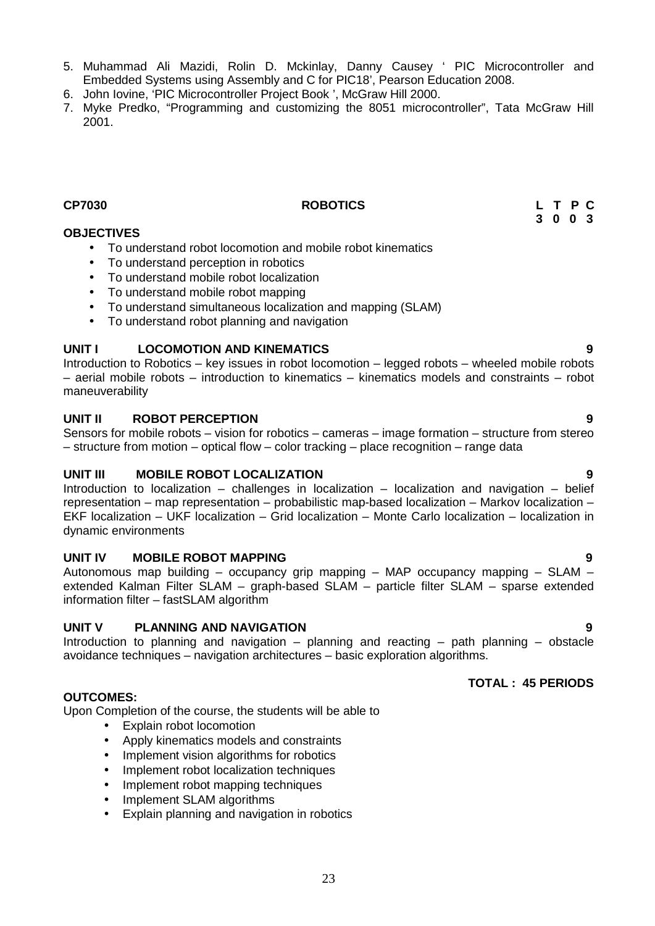- 5. Muhammad Ali Mazidi, Rolin D. Mckinlay, Danny Causey ' PIC Microcontroller and Embedded Systems using Assembly and C for PIC18', Pearson Education 2008.
- 6. John Iovine, 'PIC Microcontroller Project Book ', McGraw Hill 2000.
- 7. Myke Predko, "Programming and customizing the 8051 microcontroller", Tata McGraw Hill 2001.

# **CP7030 ROBOTICS L T P C**

# **OBJECTIVES**

- To understand robot locomotion and mobile robot kinematics
- To understand perception in robotics
- To understand mobile robot localization
- To understand mobile robot mapping
- To understand simultaneous localization and mapping (SLAM)
- To understand robot planning and navigation

### **UNIT I LOCOMOTION AND KINEMATICS 9**

Introduction to Robotics – key issues in robot locomotion – legged robots – wheeled mobile robots – aerial mobile robots – introduction to kinematics – kinematics models and constraints – robot maneuverability

# **UNIT II ROBOT PERCEPTION 9**

Sensors for mobile robots – vision for robotics – cameras – image formation – structure from stereo – structure from motion – optical flow – color tracking – place recognition – range data

# **UNIT III MOBILE ROBOT LOCALIZATION 9**

Introduction to localization – challenges in localization – localization and navigation – belief representation – map representation – probabilistic map-based localization – Markov localization – EKF localization – UKF localization – Grid localization – Monte Carlo localization – localization in dynamic environments

### **UNIT IV MOBILE ROBOT MAPPING 9**

Autonomous map building – occupancy grip mapping – MAP occupancy mapping – SLAM – extended Kalman Filter SLAM – graph-based SLAM – particle filter SLAM – sparse extended information filter – fastSLAM algorithm

# **UNIT V PLANNING AND NAVIGATION 9**

Introduction to planning and navigation – planning and reacting – path planning – obstacle avoidance techniques – navigation architectures – basic exploration algorithms.

### **OUTCOMES:**

Upon Completion of the course, the students will be able to

- Explain robot locomotion
- Apply kinematics models and constraints
- Implement vision algorithms for robotics
- Implement robot localization techniques
- Implement robot mapping techniques
- Implement SLAM algorithms
- Explain planning and navigation in robotics

# **TOTAL : 45 PERIODS**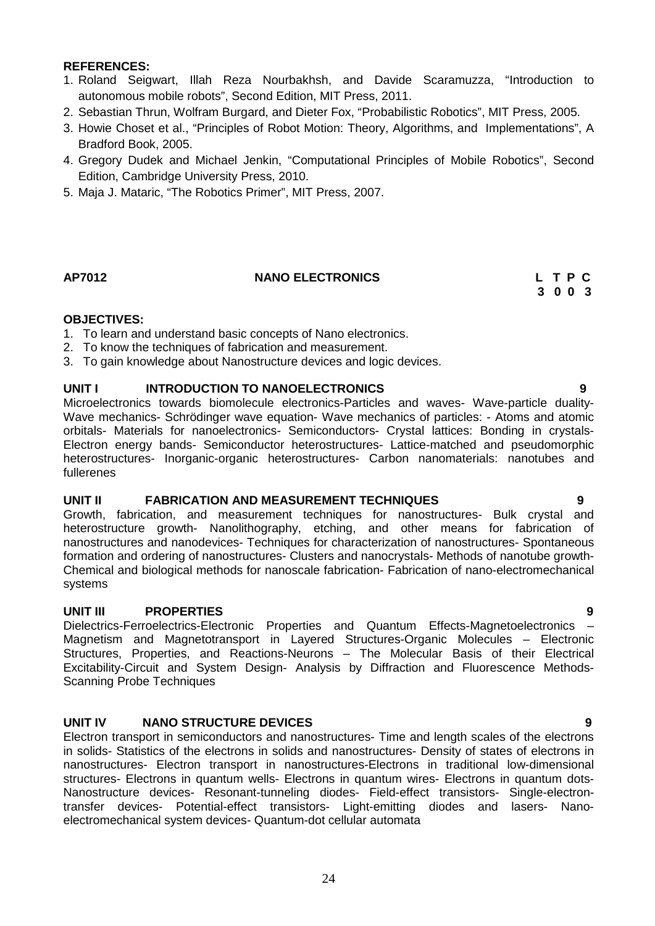# **REFERENCES:**

- 1. Roland Seigwart, Illah Reza Nourbakhsh, and Davide Scaramuzza, "Introduction to autonomous mobile robots", Second Edition, MIT Press, 2011.
- 2. Sebastian Thrun, Wolfram Burgard, and Dieter Fox, "Probabilistic Robotics", MIT Press, 2005.
- 3. Howie Choset et al., "Principles of Robot Motion: Theory, Algorithms, and Implementations", A Bradford Book, 2005.
- 4. Gregory Dudek and Michael Jenkin, "Computational Principles of Mobile Robotics", Second Edition, Cambridge University Press, 2010.
- 5. Maja J. Mataric, "The Robotics Primer", MIT Press, 2007.

# **AP7012 NANO ELECTRONICS L T P C**

**3 0 0 3**

### **OBJECTIVES:**

- 1. To learn and understand basic concepts of Nano electronics.
- 2. To know the techniques of fabrication and measurement.
- 3. To gain knowledge about Nanostructure devices and logic devices.

# **UNIT I INTRODUCTION TO NANOELECTRONICS 9**

Microelectronics towards biomolecule electronics-Particles and waves- Wave-particle duality- Wave mechanics- Schrödinger wave equation- Wave mechanics of particles: - Atoms and atomic orbitals- Materials for nanoelectronics- Semiconductors- Crystal lattices: Bonding in crystals- Electron energy bands- Semiconductor heterostructures- Lattice-matched and pseudomorphic heterostructures- Inorganic-organic heterostructures- Carbon nanomaterials: nanotubes and fullerenes

# **UNIT II FABRICATION AND MEASUREMENT TECHNIQUES 9**

Growth, fabrication, and measurement techniques for nanostructures- Bulk crystal and heterostructure growth- Nanolithography, etching, and other means for fabrication of nanostructures and nanodevices- Techniques for characterization of nanostructures- Spontaneous formation and ordering of nanostructures- Clusters and nanocrystals- Methods of nanotube growth- Chemical and biological methods for nanoscale fabrication- Fabrication of nano-electromechanical systems

# **UNIT III PROPERTIES 9**

Dielectrics-Ferroelectrics-Electronic Properties and Quantum Effects-Magnetoelectronics – Magnetism and Magnetotransport in Layered Structures-Organic Molecules – Electronic Structures, Properties, and Reactions-Neurons – The Molecular Basis of their Electrical Excitability-Circuit and System Design- Analysis by Diffraction and Fluorescence Methods- Scanning Probe Techniques

# **UNIT IV NANO STRUCTURE DEVICES 9**

Electron transport in semiconductors and nanostructures- Time and length scales of the electrons in solids- Statistics of the electrons in solids and nanostructures- Density of states of electrons in nanostructures- Electron transport in nanostructures-Electrons in traditional low-dimensional structures- Electrons in quantum wells- Electrons in quantum wires- Electrons in quantum dots- Nanostructure devices- Resonant-tunneling diodes- Field-effect transistors- Single-electrontransfer devices- Potential-effect transistors- Light-emitting diodes and lasers- Nano electromechanical system devices- Quantum-dot cellular automata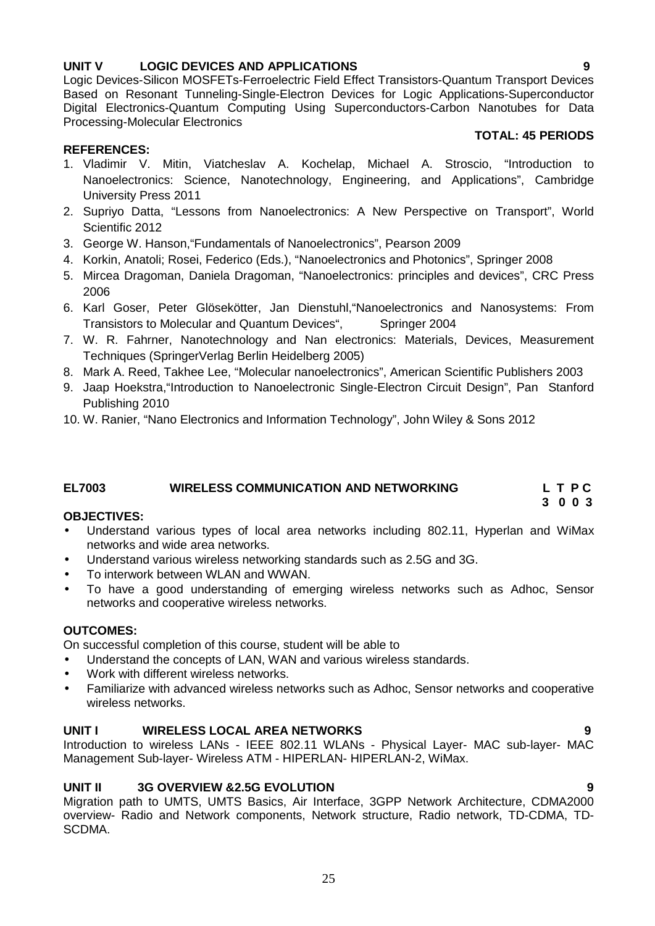# **UNIT V LOGIC DEVICES AND APPLICATIONS 9**

Logic Devices-Silicon MOSFETs-Ferroelectric Field Effect Transistors-Quantum Transport Devices Based on Resonant Tunneling-Single-Electron Devices for Logic Applications-Superconductor Digital Electronics-Quantum Computing Using Superconductors-Carbon Nanotubes for Data Processing-Molecular Electronics

# **TOTAL: 45 PERIODS**

- 1. Vladimir V. Mitin, Viatcheslav A. Kochelap, Michael A. Stroscio, "Introduction to Nanoelectronics: Science, Nanotechnology, Engineering, and Applications", Cambridge University Press 2011
- 2. Supriyo Datta, "Lessons from Nanoelectronics: A New Perspective on Transport", World Scientific 2012
- 3. George W. Hanson,"Fundamentals of Nanoelectronics", Pearson 2009
- 4. Korkin, Anatoli; Rosei, Federico (Eds.), "Nanoelectronics and Photonics", Springer 2008
- 5. Mircea Dragoman, Daniela Dragoman, "Nanoelectronics: principles and devices", CRC Press 2006
- 6. Karl Goser, Peter Glösekötter, Jan Dienstuhl,"Nanoelectronics and Nanosystems: From Transistors to Molecular and Quantum Devices". Springer 2004
- 7. W. R. Fahrner, Nanotechnology and Nan electronics: Materials, Devices, Measurement Techniques (SpringerVerlag Berlin Heidelberg 2005)
- 8. Mark A. Reed, Takhee Lee, "Molecular nanoelectronics", American Scientific Publishers 2003
- 9. Jaap Hoekstra,"Introduction to Nanoelectronic Single-Electron Circuit Design", Pan Stanford Publishing 2010
- 10. W. Ranier, "Nano Electronics and Information Technology", John Wiley & Sons 2012

### **EL7003 WIRELESS COMMUNICATION AND NETWORKING L T P C**

### **OBJECTIVES:**

**REFERENCES:**

- Understand various types of local area networks including 802.11, Hyperlan and WiMax networks and wide area networks.
- Understand various wireless networking standards such as 2.5G and 3G.
- To interwork between WLAN and WWAN.
- To have a good understanding of emerging wireless networks such as Adhoc, Sensor networks and cooperative wireless networks.

### **OUTCOMES:**

On successful completion of this course, student will be able to

- Understand the concepts of LAN, WAN and various wireless standards.
- Work with different wireless networks.
- Familiarize with advanced wireless networks such as Adhoc, Sensor networks and cooperative wireless networks.

# **UNIT I WIRELESS LOCAL AREA NETWORKS 9**

Introduction to wireless LANs - IEEE 802.11 WLANs - Physical Layer- MAC sub-layer- MAC Management Sub-layer- Wireless ATM - HIPERLAN- HIPERLAN-2, WiMax.

# **UNIT II 3G OVERVIEW &2.5G EVOLUTION 9**

Migration path to UMTS, UMTS Basics, Air Interface, 3GPP Network Architecture, CDMA2000 overview- Radio and Network components, Network structure, Radio network, TD-CDMA, TD- SCDMA.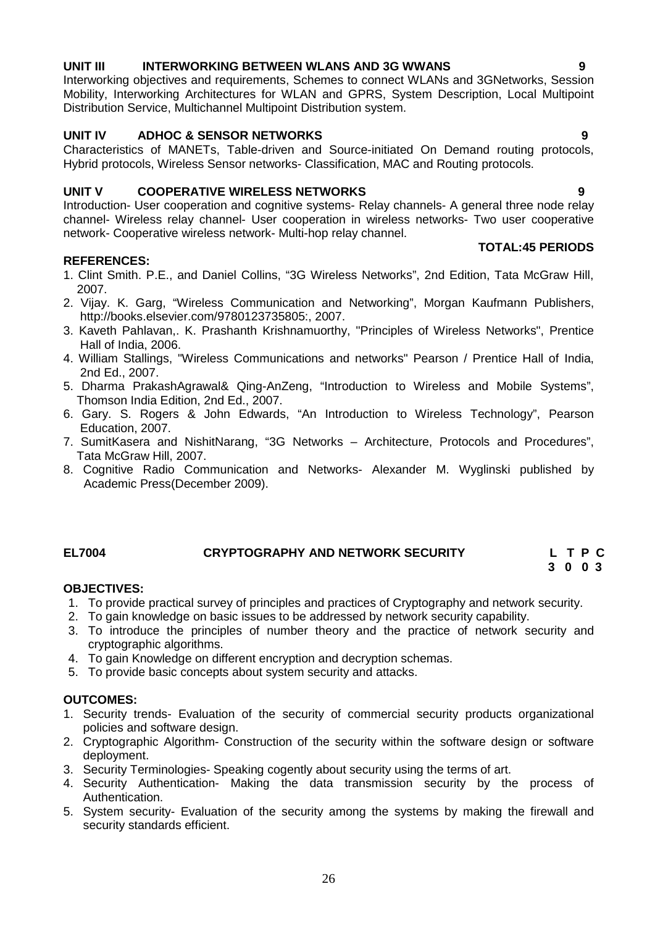# 26

# **UNIT III INTERWORKING BETWEEN WLANS AND 3G WWANS 9**

Interworking objectives and requirements, Schemes to connect WLANs and 3GNetworks, Session Mobility, Interworking Architectures for WLAN and GPRS, System Description, Local Multipoint Distribution Service, Multichannel Multipoint Distribution system.

# **UNIT IV ADHOC & SENSOR NETWORKS 9**

Characteristics of MANETs, Table-driven and Source-initiated On Demand routing protocols, Hybrid protocols, Wireless Sensor networks- Classification, MAC and Routing protocols.

# **UNIT V COOPERATIVE WIRELESS NETWORKS 9**

Introduction- User cooperation and cognitive systems- Relay channels- A general three node relay channel- Wireless relay channel- User cooperation in wireless networks- Two user cooperative network- Cooperative wireless network- Multi-hop relay channel.

### **REFERENCES:**

- 1. Clint Smith. P.E., and Daniel Collins, "3G Wireless Networks", 2nd Edition, Tata McGraw Hill, 2007.
- 2. Vijay. K. Garg, "Wireless Communication and Networking", Morgan Kaufmann Publishers, http://books.elsevier.com/9780123735805:, 2007.
- 3. Kaveth Pahlavan,. K. Prashanth Krishnamuorthy, "Principles of Wireless Networks", Prentice Hall of India, 2006.
- 4. William Stallings, "Wireless Communications and networks" Pearson / Prentice Hall of India, 2nd Ed., 2007.
- 5. Dharma PrakashAgrawal& Qing-AnZeng, "Introduction to Wireless and Mobile Systems", Thomson India Edition, 2nd Ed., 2007.
- 6. Gary. S. Rogers & John Edwards, "An Introduction to Wireless Technology", Pearson Education, 2007.
- 7. SumitKasera and NishitNarang, "3G Networks Architecture, Protocols and Procedures", Tata McGraw Hill, 2007.
- 8. Cognitive Radio Communication and Networks- Alexander M. Wyglinski published by Academic Press(December 2009).

# **EL7004 CRYPTOGRAPHY AND NETWORK SECURITY L T P C**

### **OBJECTIVES:**

- 1. To provide practical survey of principles and practices of Cryptography and network security.
- 2. To gain knowledge on basic issues to be addressed by network security capability.
- 3. To introduce the principles of number theory and the practice of network security and cryptographic algorithms.
- 4. To gain Knowledge on different encryption and decryption schemas.
- 5. To provide basic concepts about system security and attacks.

### **OUTCOMES:**

- 1. Security trends- Evaluation of the security of commercial security products organizational policies and software design.
- 2. Cryptographic Algorithm- Construction of the security within the software design or software deployment.
- 3. Security Terminologies- Speaking cogently about security using the terms of art.
- 4. Security Authentication- Making the data transmission security by the process of Authentication.
- 5. System security- Evaluation of the security among the systems by making the firewall and security standards efficient.

### **TOTAL:45 PERIODS**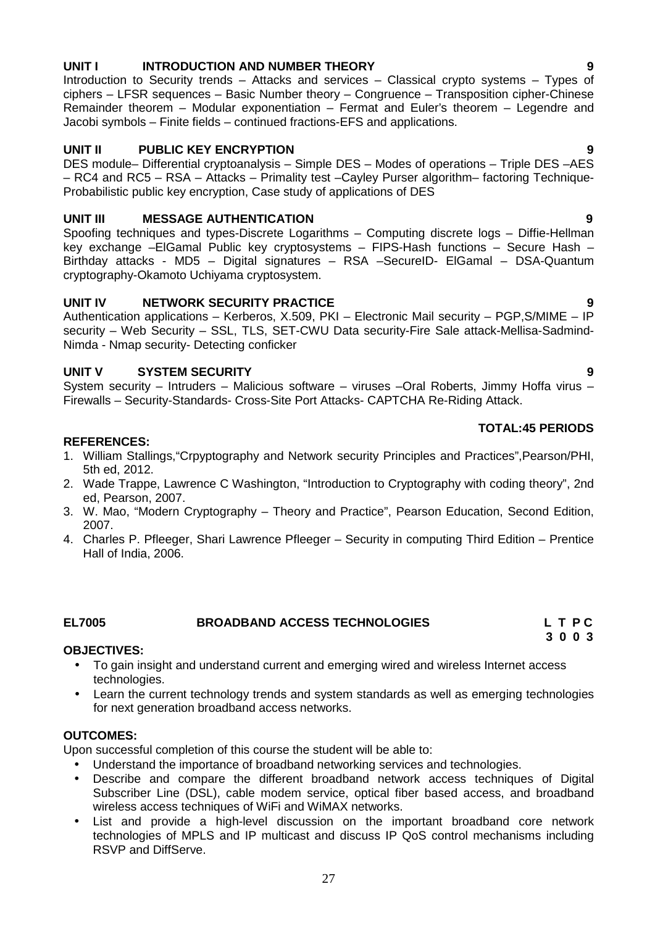# **UNIT I INTRODUCTION AND NUMBER THEORY 9**

Introduction to Security trends – Attacks and services – Classical crypto systems – Types of ciphers – LFSR sequences – Basic Number theory – Congruence – Transposition cipher-Chinese Remainder theorem – Modular exponentiation – Fermat and Euler's theorem – Legendre and Jacobi symbols – Finite fields – continued fractions-EFS and applications.

# **UNIT II PUBLIC KEY ENCRYPTION 9**

DES module– Differential cryptoanalysis – Simple DES – Modes of operations – Triple DES –AES – RC4 and RC5 – RSA – Attacks – Primality test –Cayley Purser algorithm– factoring Technique- Probabilistic public key encryption, Case study of applications of DES

# **UNIT III MESSAGE AUTHENTICATION 9**

Spoofing techniques and types-Discrete Logarithms – Computing discrete logs – Diffie-Hellman key exchange –ElGamal Public key cryptosystems – FIPS-Hash functions – Secure Hash – Birthday attacks - MD5 – Digital signatures – RSA –SecureID- ElGamal – DSA-Quantum cryptography-Okamoto Uchiyama cryptosystem.

# **UNIT IV NETWORK SECURITY PRACTICE 9**

Authentication applications – Kerberos, X.509, PKI – Electronic Mail security – PGP,S/MIME – IP security – Web Security – SSL, TLS, SET-CWU Data security-Fire Sale attack-Mellisa-Sadmind- Nimda - Nmap security- Detecting conficker

# **UNIT V SYSTEM SECURITY 9**

System security – Intruders – Malicious software – viruses –Oral Roberts, Jimmy Hoffa virus – Firewalls – Security-Standards- Cross-Site Port Attacks- CAPTCHA Re-Riding Attack.

### **TOTAL:45 PERIODS**

# **REFERENCES:**

- 1. William Stallings,"Crpyptography and Network security Principles and Practices",Pearson/PHI, 5th ed, 2012.
- 2. Wade Trappe, Lawrence C Washington, "Introduction to Cryptography with coding theory", 2nd ed, Pearson, 2007.
- 3. W. Mao, "Modern Cryptography Theory and Practice", Pearson Education, Second Edition, 2007.
- 4. Charles P. Pfleeger, Shari Lawrence Pfleeger Security in computing Third Edition Prentice Hall of India, 2006.

# **EL7005 BROADBAND ACCESS TECHNOLOGIES L T P C**

### **OBJECTIVES:**

- To gain insight and understand current and emerging wired and wireless Internet access technologies.
- Learn the current technology trends and system standards as well as emerging technologies for next generation broadband access networks.

# **OUTCOMES:**

Upon successful completion of this course the student will be able to:

- Understand the importance of broadband networking services and technologies.
- Describe and compare the different broadband network access techniques of Digital Subscriber Line (DSL), cable modem service, optical fiber based access, and broadband wireless access techniques of WiFi and WiMAX networks.
- List and provide a high-level discussion on the important broadband core network technologies of MPLS and IP multicast and discuss IP QoS control mechanisms including RSVP and DiffServe.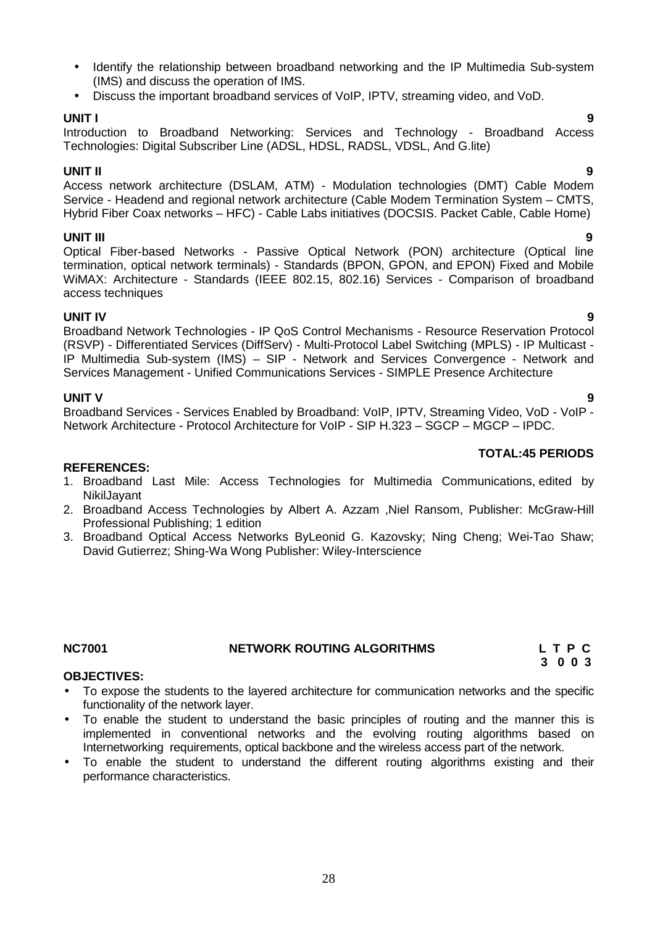- Identify the relationship between broadband networking and the IP Multimedia Sub-system (IMS) and discuss the operation of IMS.
- Discuss the important broadband services of VoIP, IPTV, streaming video, and VoD.

**UNIT I 9** Introduction to Broadband Networking: Services and Technology - Broadband Access Technologies: Digital Subscriber Line (ADSL, HDSL, RADSL, VDSL, And G.lite)

# **UNIT II 9**

Access network architecture (DSLAM, ATM) - Modulation technologies (DMT) Cable Modem Service - Headend and regional network architecture (Cable Modem Termination System – CMTS, Hybrid Fiber Coax networks – HFC) - Cable Labs initiatives (DOCSIS. Packet Cable, Cable Home)

**UNIT III 9** Optical Fiber-based Networks - Passive Optical Network (PON) architecture (Optical line termination, optical network terminals) - Standards (BPON, GPON, and EPON) Fixed and Mobile WiMAX: Architecture - Standards (IEEE 802.15, 802.16) Services - Comparison of broadband access techniques

**UNIT IV 9** Broadband Network Technologies - IP QoS Control Mechanisms - Resource Reservation Protocol (RSVP) - Differentiated Services (DiffServ) - Multi-Protocol Label Switching (MPLS) - IP Multicast - IP Multimedia Sub-system (IMS) – SIP - Network and Services Convergence - Network and Services Management - Unified Communications Services - SIMPLE Presence Architecture

**UNIT V 9** Broadband Services - Services Enabled by Broadband: VoIP, IPTV, Streaming Video, VoD - VoIP - Network Architecture - Protocol Architecture for VoIP - SIP H.323 - SGCP - MGCP - IPDC.

### **REFERENCES:**

- 1. Broadband Last Mile: Access Technologies for Multimedia Communications, edited by NikilJayant
- 2. Broadband Access Technologies by Albert A. Azzam ,Niel Ransom, Publisher: McGraw-Hill Professional Publishing; 1 edition
- 3. Broadband Optical Access Networks ByLeonid G. Kazovsky; Ning Cheng; Wei-Tao Shaw; David Gutierrez; Shing-Wa Wong Publisher: Wiley-Interscience

# **NC7001 NETWORK ROUTING ALGORITHMS L T P C**

### **OBJECTIVES:**

- To expose the students to the layered architecture for communication networks and the specific functionality of the network layer.
- To enable the student to understand the basic principles of routing and the manner this is implemented in conventional networks and the evolving routing algorithms based on Internetworking requirements, optical backbone and the wireless access part of the network.
- To enable the student to understand the different routing algorithms existing and their performance characteristics.

### **TOTAL:45 PERIODS**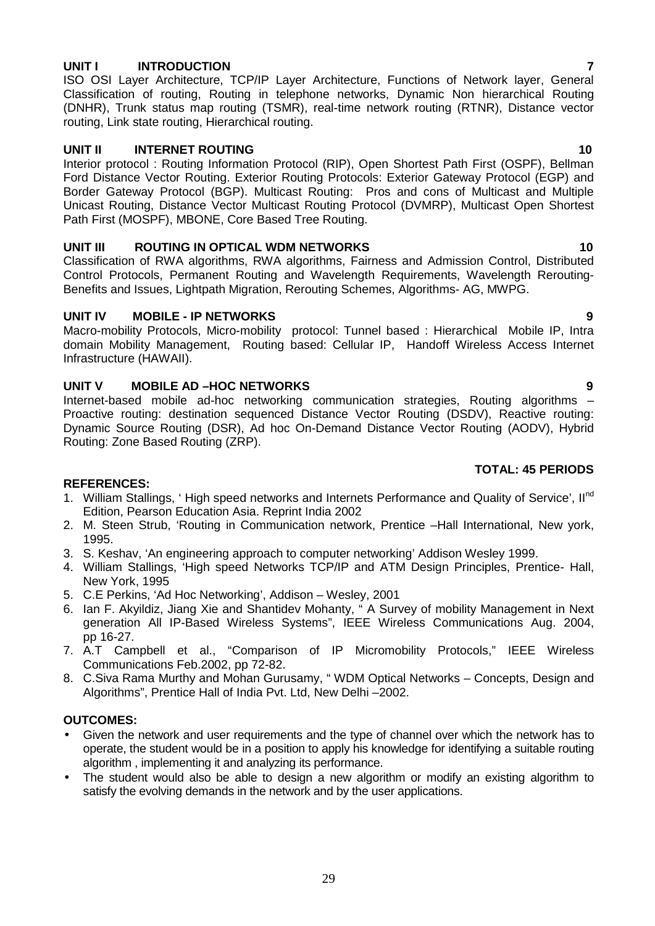# **UNIT I INTRODUCTION 7**

ISO OSI Layer Architecture, TCP/IP Layer Architecture, Functions of Network layer, General Classification of routing, Routing in telephone networks, Dynamic Non hierarchical Routing (DNHR), Trunk status map routing (TSMR), real-time network routing (RTNR), Distance vector routing, Link state routing, Hierarchical routing.

# **UNIT II INTERNET ROUTING 10**

Interior protocol : Routing Information Protocol (RIP), Open Shortest Path First (OSPF), Bellman Ford Distance Vector Routing. Exterior Routing Protocols: Exterior Gateway Protocol (EGP) and Border Gateway Protocol (BGP). Multicast Routing: Pros and cons of Multicast and Multiple Unicast Routing, Distance Vector Multicast Routing Protocol (DVMRP), Multicast Open Shortest Path First (MOSPF), MBONE, Core Based Tree Routing.

# **UNIT III ROUTING IN OPTICAL WDM NETWORKS 10**

Classification of RWA algorithms, RWA algorithms, Fairness and Admission Control, Distributed Control Protocols, Permanent Routing and Wavelength Requirements, Wavelength Rerouting- Benefits and Issues, Lightpath Migration, Rerouting Schemes, Algorithms- AG, MWPG.

# **UNIT IV MOBILE - IP NETWORKS 9**

Macro-mobility Protocols, Micro-mobility protocol: Tunnel based : Hierarchical Mobile IP, Intra domain Mobility Management, Routing based: Cellular IP, Handoff Wireless Access Internet Infrastructure (HAWAII).

# **UNIT V MOBILE AD –HOC NETWORKS 9**

Internet-based mobile ad-hoc networking communication strategies, Routing algorithms – Proactive routing: destination sequenced Distance Vector Routing (DSDV), Reactive routing: Dynamic Source Routing (DSR), Ad hoc On-Demand Distance Vector Routing (AODV), Hybrid Routing: Zone Based Routing (ZRP).

# **TOTAL: 45 PERIODS**

### **REFERENCES:**

- 1. William Stallings, 'High speed networks and Internets Performance and Quality of Service', Il<sup>nd</sup> Edition, Pearson Education Asia. Reprint India 2002
- 2. M. Steen Strub, 'Routing in Communication network, Prentice –Hall International, New york, 1995.
- 3. S. Keshav, 'An engineering approach to computer networking' Addison Wesley 1999.
- 4. William Stallings, 'High speed Networks TCP/IP and ATM Design Principles, Prentice- Hall, New York, 1995
- 5. C.E Perkins, 'Ad Hoc Networking', Addison Wesley, 2001
- 6. Ian F. Akyildiz, Jiang Xie and Shantidev Mohanty, " A Survey of mobility Management in Next generation All IP-Based Wireless Systems", IEEE Wireless Communications Aug. 2004, pp 16-27.
- 7. A.T Campbell et al., "Comparison of IP Micromobility Protocols," IEEE Wireless Communications Feb.2002, pp 72-82.
- 8. C.Siva Rama Murthy and Mohan Gurusamy, " WDM Optical Networks Concepts, Design and Algorithms", Prentice Hall of India Pvt. Ltd, New Delhi –2002.

### **OUTCOMES:**

- Given the network and user requirements and the type of channel over which the network has to operate, the student would be in a position to apply his knowledge for identifying a suitable routing algorithm , implementing it and analyzing its performance.
- The student would also be able to design a new algorithm or modify an existing algorithm to satisfy the evolving demands in the network and by the user applications.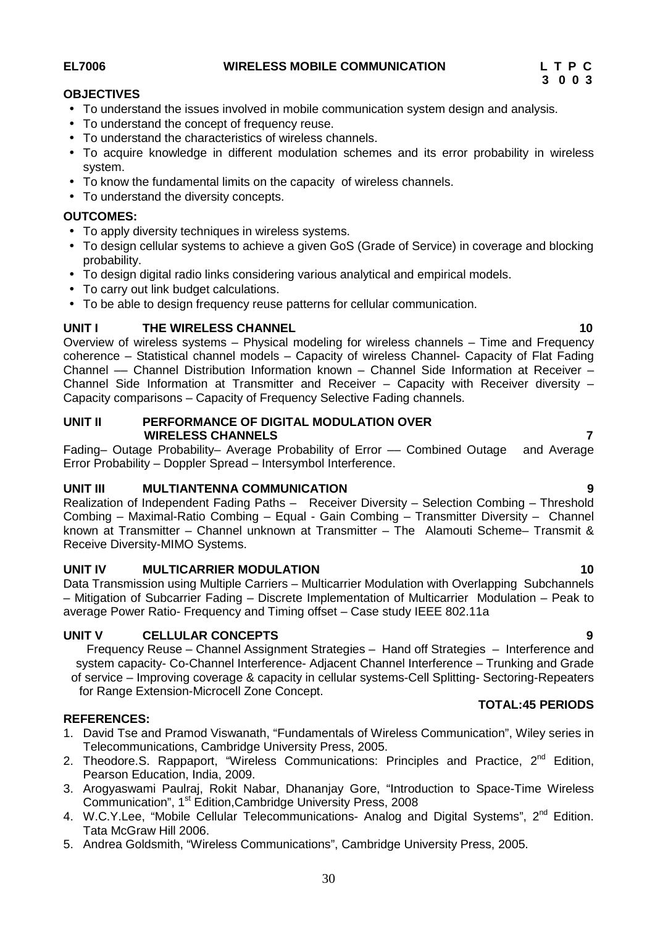**EL7006 WIRELESS MOBILE COMMUNICATION L T P C**

# **OBJECTIVES**

- To understand the issues involved in mobile communication system design and analysis.
- To understand the concept of frequency reuse.
- To understand the characteristics of wireless channels.
- To acquire knowledge in different modulation schemes and its error probability in wireless system.
- To know the fundamental limits on the capacity of wireless channels.
- To understand the diversity concepts.

### **OUTCOMES:**

- To apply diversity techniques in wireless systems.
- To design cellular systems to achieve a given GoS (Grade of Service) in coverage and blocking probability.
- To design digital radio links considering various analytical and empirical models.
- To carry out link budget calculations.
- To be able to design frequency reuse patterns for cellular communication.

### **UNIT I THE WIRELESS CHANNEL 10**

Overview of wireless systems – Physical modeling for wireless channels – Time and Frequency coherence – Statistical channel models – Capacity of wireless Channel- Capacity of Flat Fading Channel –– Channel Distribution Information known – Channel Side Information at Receiver – Channel Side Information at Transmitter and Receiver – Capacity with Receiver diversity – Capacity comparisons – Capacity of Frequency Selective Fading channels.

### **UNIT II PERFORMANCE OF DIGITAL MODULATION OVER WIRELESS CHANNELS 7**

Fading– Outage Probability– Average Probability of Error — Combined Outage and Average Error Probability – Doppler Spread – Intersymbol Interference.

### **UNIT III MULTIANTENNA COMMUNICATION 9**

Realization of Independent Fading Paths – Receiver Diversity – Selection Combing – Threshold Combing – Maximal-Ratio Combing – Equal - Gain Combing – Transmitter Diversity – Channel known at Transmitter – Channel unknown at Transmitter – The Alamouti Scheme– Transmit & Receive Diversity-MIMO Systems.

### **UNIT IV MULTICARRIER MODULATION 10**

Data Transmission using Multiple Carriers – Multicarrier Modulation with Overlapping Subchannels – Mitigation of Subcarrier Fading – Discrete Implementation of Multicarrier Modulation – Peak to average Power Ratio- Frequency and Timing offset – Case study IEEE 802.11a

### **UNIT V CELLULAR CONCEPTS 9**

Frequency Reuse – Channel Assignment Strategies – Hand off Strategies – Interference and system capacity- Co-Channel Interference- Adjacent Channel Interference – Trunking and Grade of service – Improving coverage & capacity in cellular systems-Cell Splitting- Sectoring-Repeaters for Range Extension-Microcell Zone Concept.

### **REFERENCES:**

- 1. David Tse and Pramod Viswanath, "Fundamentals of Wireless Communication", Wiley series in Telecommunications, Cambridge University Press, 2005.
- 2. Theodore.S. Rappaport, "Wireless Communications: Principles and Practice, 2<sup>nd</sup> Edition, Pearson Education, India, 2009.
- 3. Arogyaswami Paulraj, Rokit Nabar, Dhananjay Gore, "Introduction to Space-Time Wireless Communication", 1st Edition,Cambridge University Press, 2008
- 4. W.C.Y.Lee, "Mobile Cellular Telecommunications- Analog and Digital Systems", 2<sup>nd</sup> Edition. Tata McGraw Hill 2006.
- 5. Andrea Goldsmith, "Wireless Communications", Cambridge University Press, 2005.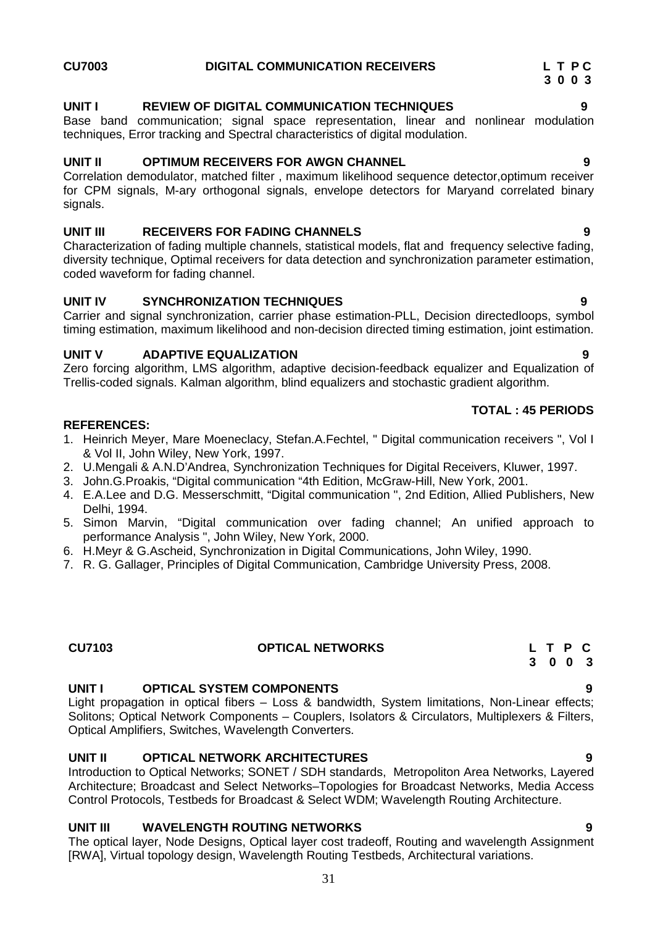### **UNIT I REVIEW OF DIGITAL COMMUNICATION TECHNIQUES 9**

Base band communication; signal space representation, linear and nonlinear modulation techniques, Error tracking and Spectral characteristics of digital modulation.

# **UNIT II OPTIMUM RECEIVERS FOR AWGN CHANNEL 9**

Correlation demodulator, matched filter , maximum likelihood sequence detector,optimum receiver for CPM signals, M-ary orthogonal signals, envelope detectors for Maryand correlated binary signals.

# **UNIT III RECEIVERS FOR FADING CHANNELS 9**

Characterization of fading multiple channels, statistical models, flat and frequency selective fading, diversity technique, Optimal receivers for data detection and synchronization parameter estimation, coded waveform for fading channel.

# **UNIT IV SYNCHRONIZATION TECHNIQUES 9**

Carrier and signal synchronization, carrier phase estimation-PLL, Decision directedloops, symbol timing estimation, maximum likelihood and non-decision directed timing estimation, joint estimation.

# **UNIT V ADAPTIVE EQUALIZATION 9**

Zero forcing algorithm, LMS algorithm, adaptive decision-feedback equalizer and Equalization of Trellis-coded signals. Kalman algorithm, blind equalizers and stochastic gradient algorithm.

### **REFERENCES:**

- 1. Heinrich Meyer, Mare Moeneclacy, Stefan.A.Fechtel, " Digital communication receivers ", Vol I & Vol II, John Wiley, New York, 1997.
- 2. U.Mengali & A.N.D'Andrea, Synchronization Techniques for Digital Receivers, Kluwer, 1997.
- 3. John.G.Proakis, "Digital communication "4th Edition, McGraw-Hill, New York, 2001.
- 4. E.A.Lee and D.G. Messerschmitt, "Digital communication ", 2nd Edition, Allied Publishers, New Delhi, 1994.
- 5. Simon Marvin, "Digital communication over fading channel; An unified approach to performance Analysis ", John Wiley, New York, 2000.
- 6. H.Meyr & G.Ascheid, Synchronization in Digital Communications, John Wiley, 1990.
- 7. R. G. Gallager, Principles of Digital Communication, Cambridge University Press, 2008.

# **UNIT I OPTICAL SYSTEM COMPONENTS 9**

Light propagation in optical fibers – Loss & bandwidth, System limitations, Non-Linear effects; Solitons; Optical Network Components – Couplers, Isolators & Circulators, Multiplexers & Filters, Optical Amplifiers, Switches, Wavelength Converters.

# **UNIT II OPTICAL NETWORK ARCHITECTURES 9**

Introduction to Optical Networks; SONET / SDH standards, Metropoliton Area Networks, Layered Architecture; Broadcast and Select Networks–Topologies for Broadcast Networks, Media Access Control Protocols, Testbeds for Broadcast & Select WDM; Wavelength Routing Architecture.

### **UNIT III WAVELENGTH ROUTING NETWORKS 9**

The optical layer, Node Designs, Optical layer cost tradeoff, Routing and wavelength Assignment [RWA], Virtual topology design, Wavelength Routing Testbeds, Architectural variations.

# **TOTAL : 45 PERIODS**

### **CU7103 OPTICAL NETWORKS L T P C 3 0 0 3**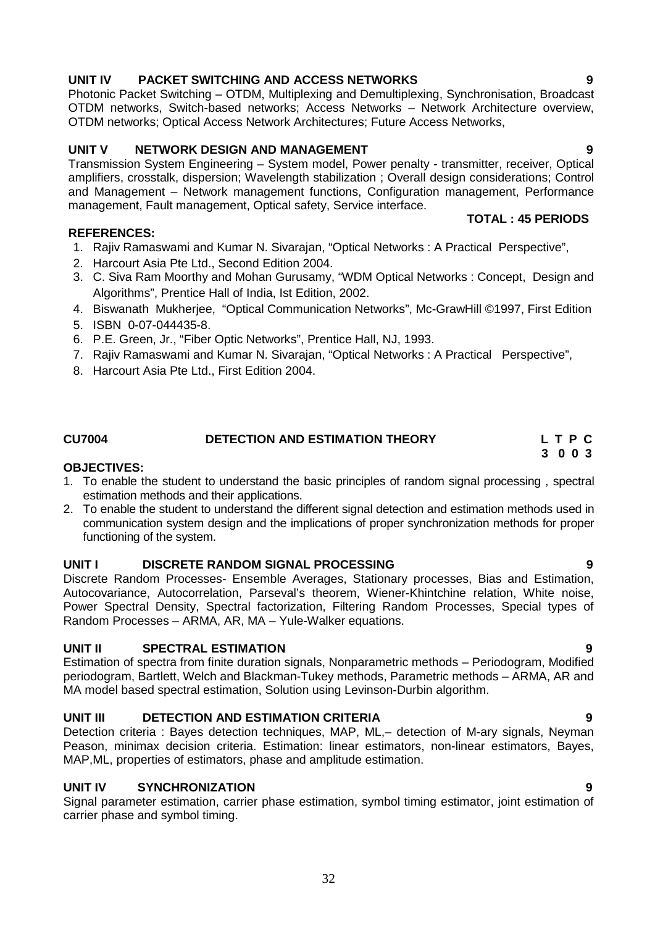# **UNIT IV PACKET SWITCHING AND ACCESS NETWORKS 9**

Photonic Packet Switching – OTDM, Multiplexing and Demultiplexing, Synchronisation, Broadcast OTDM networks, Switch-based networks; Access Networks – Network Architecture overview, OTDM networks; Optical Access Network Architectures; Future Access Networks,

# **UNIT V NETWORK DESIGN AND MANAGEMENT 9**

Transmission System Engineering – System model, Power penalty - transmitter, receiver, Optical amplifiers, crosstalk, dispersion; Wavelength stabilization ; Overall design considerations; Control and Management – Network management functions, Configuration management, Performance management, Fault management, Optical safety, Service interface.

### **REFERENCES:**

- 1. Rajiv Ramaswami and Kumar N. Sivarajan, "Optical Networks : A Practical Perspective",
- 2. Harcourt Asia Pte Ltd., Second Edition 2004.
- 3. C. Siva Ram Moorthy and Mohan Gurusamy, "WDM Optical Networks : Concept, Design and Algorithms", Prentice Hall of India, Ist Edition, 2002.
- 4. Biswanath Mukherjee, "Optical Communication Networks", Mc-GrawHill ©1997, First Edition
- 5. ISBN 0-07-044435-8.
- 6. P.E. Green, Jr., "Fiber Optic Networks", Prentice Hall, NJ, 1993.
- 7. Rajiv Ramaswami and Kumar N. Sivarajan, "Optical Networks : A Practical Perspective",
- 8. Harcourt Asia Pte Ltd., First Edition 2004.

# **CU7004 DETECTION AND ESTIMATION THEORY L T P C**

- **OBJECTIVES:** 1. To enable the student to understand the basic principles of random signal processing , spectral estimation methods and their applications.
- 2. To enable the student to understand the different signal detection and estimation methods used in communication system design and the implications of proper synchronization methods for proper functioning of the system.

### **UNIT I DISCRETE RANDOM SIGNAL PROCESSING 9**

Discrete Random Processes- Ensemble Averages, Stationary processes, Bias and Estimation, Autocovariance, Autocorrelation, Parseval's theorem, Wiener-Khintchine relation, White noise, Power Spectral Density, Spectral factorization, Filtering Random Processes, Special types of Random Processes – ARMA, AR, MA – Yule-Walker equations.

# **UNIT II SPECTRAL ESTIMATION 9**

Estimation of spectra from finite duration signals, Nonparametric methods – Periodogram, Modified periodogram, Bartlett, Welch and Blackman-Tukey methods, Parametric methods – ARMA, AR and MA model based spectral estimation, Solution using Levinson-Durbin algorithm.

# **UNIT III DETECTION AND ESTIMATION CRITERIA 9**

Detection criteria : Bayes detection techniques, MAP, ML,– detection of M-ary signals, Neyman Peason, minimax decision criteria. Estimation: linear estimators, non-linear estimators, Bayes, MAP,ML, properties of estimators, phase and amplitude estimation.

# **UNIT IV SYNCHRONIZATION 9**

Signal parameter estimation, carrier phase estimation, symbol timing estimator, joint estimation of carrier phase and symbol timing.

**3 0 0 3**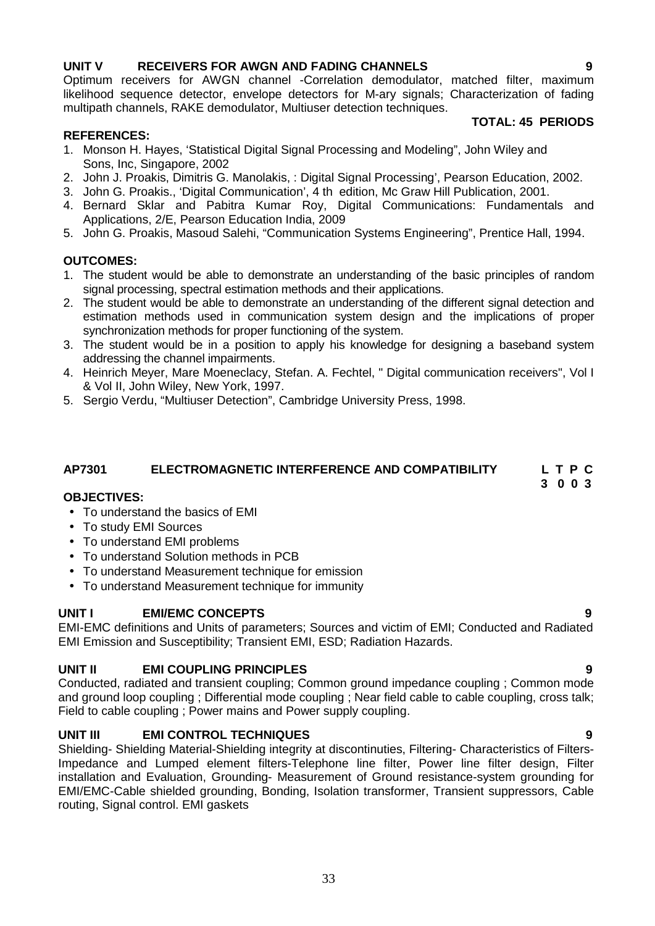# **UNIT V RECEIVERS FOR AWGN AND FADING CHANNELS 9**

Optimum receivers for AWGN channel -Correlation demodulator, matched filter, maximum likelihood sequence detector, envelope detectors for M-ary signals; Characterization of fading multipath channels, RAKE demodulator, Multiuser detection techniques.

### **TOTAL: 45 PERIODS**

# **REFERENCES:**

- 1. Monson H. Hayes, 'Statistical Digital Signal Processing and Modeling", John Wiley and Sons, Inc, Singapore, 2002
- 2. John J. Proakis, Dimitris G. Manolakis, : Digital Signal Processing', Pearson Education, 2002.
- 3. John G. Proakis., 'Digital Communication', 4 th edition, Mc Graw Hill Publication, 2001.
- 4. Bernard Sklar and Pabitra Kumar Roy, Digital Communications: Fundamentals and Applications, 2/E, Pearson Education India, 2009
- 5. John G. Proakis, Masoud Salehi, "Communication Systems Engineering", Prentice Hall, 1994.

# **OUTCOMES:**

- 1. The student would be able to demonstrate an understanding of the basic principles of random signal processing, spectral estimation methods and their applications.
- 2. The student would be able to demonstrate an understanding of the different signal detection and estimation methods used in communication system design and the implications of proper synchronization methods for proper functioning of the system.
- 3. The student would be in a position to apply his knowledge for designing a baseband system addressing the channel impairments.
- 4. Heinrich Meyer, Mare Moeneclacy, Stefan. A. Fechtel, " Digital communication receivers", Vol I & Vol II, John Wiley, New York, 1997.
- 5. Sergio Verdu, "Multiuser Detection", Cambridge University Press, 1998.

### **AP7301 ELECTROMAGNETIC INTERFERENCE AND COMPATIBILITY L T P C 3 0 0 3**

### **OBJECTIVES:**

- To understand the basics of EMI
- To study EMI Sources
- To understand EMI problems
- To understand Solution methods in PCB
- To understand Measurement technique for emission
- To understand Measurement technique for immunity

### **UNIT I EMI/EMC CONCEPTS 9**

EMI-EMC definitions and Units of parameters; Sources and victim of EMI; Conducted and Radiated EMI Emission and Susceptibility; Transient EMI, ESD; Radiation Hazards.

# **UNIT II EMI COUPLING PRINCIPLES 9**

Conducted, radiated and transient coupling; Common ground impedance coupling ; Common mode and ground loop coupling ; Differential mode coupling ; Near field cable to cable coupling, cross talk; Field to cable coupling ; Power mains and Power supply coupling.

# **UNIT III EMI CONTROL TECHNIQUES 9**

Shielding- Shielding Material-Shielding integrity at discontinuties, Filtering- Characteristics of Filters-Impedance and Lumped element filters-Telephone line filter, Power line filter design, Filter installation and Evaluation, Grounding- Measurement of Ground resistance-system grounding for EMI/EMC-Cable shielded grounding, Bonding, Isolation transformer, Transient suppressors, Cable routing, Signal control. EMI gaskets

# 33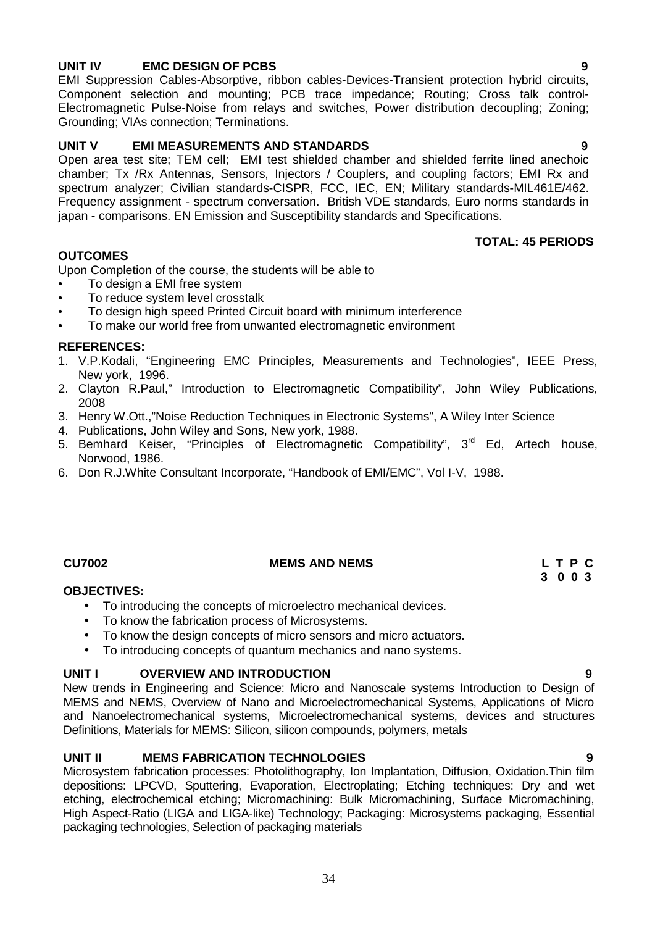# **UNIT IV EMC DESIGN OF PCBS 9**

EMI Suppression Cables-Absorptive, ribbon cables-Devices-Transient protection hybrid circuits, Component selection and mounting; PCB trace impedance; Routing; Cross talk control- Electromagnetic Pulse-Noise from relays and switches, Power distribution decoupling; Zoning; Grounding; VIAs connection; Terminations.

# **UNIT V EMI MEASUREMENTS AND STANDARDS 9**

Open area test site; TEM cell; EMI test shielded chamber and shielded ferrite lined anechoic chamber; Tx /Rx Antennas, Sensors, Injectors / Couplers, and coupling factors; EMI Rx and spectrum analyzer; Civilian standards-CISPR, FCC, IEC, EN; Military standards-MIL461E/462. Frequency assignment - spectrum conversation. British VDE standards, Euro norms standards in japan - comparisons. EN Emission and Susceptibility standards and Specifications.

### **TOTAL: 45 PERIODS**

### **OUTCOMES**

Upon Completion of the course, the students will be able to

- To design a EMI free system
- To reduce system level crosstalk
- To design high speed Printed Circuit board with minimum interference
- To make our world free from unwanted electromagnetic environment

### **REFERENCES:**

- 1. V.P.Kodali, "Engineering EMC Principles, Measurements and Technologies", IEEE Press, New york, 1996.
- 2. Clayton R.Paul," Introduction to Electromagnetic Compatibility", John Wiley Publications, 2008
- 3. Henry W.Ott.,"Noise Reduction Techniques in Electronic Systems", A Wiley Inter Science
- 4. Publications, John Wiley and Sons, New york, 1988.
- 5. Bemhard Keiser, "Principles of Electromagnetic Compatibility", 3<sup>rd</sup> Ed, Artech house, Norwood, 1986.
- 6. Don R.J.White Consultant Incorporate, "Handbook of EMI/EMC", Vol I-V, 1988.

### **CU7002 MEMS AND NEMS L T P C**

### **OBJECTIVES:**

- To introducing the concepts of microelectro mechanical devices.
- To know the fabrication process of Microsystems.
- To know the design concepts of micro sensors and micro actuators.
- To introducing concepts of quantum mechanics and nano systems.

### **UNIT I OVERVIEW AND INTRODUCTION 9**

New trends in Engineering and Science: Micro and Nanoscale systems Introduction to Design of MEMS and NEMS, Overview of Nano and Microelectromechanical Systems, Applications of Micro and Nanoelectromechanical systems, Microelectromechanical systems, devices and structures Definitions, Materials for MEMS: Silicon, silicon compounds, polymers, metals

### **UNIT II MEMS FABRICATION TECHNOLOGIES 9**

Microsystem fabrication processes: Photolithography, Ion Implantation, Diffusion, Oxidation.Thin film depositions: LPCVD, Sputtering, Evaporation, Electroplating; Etching techniques: Dry and wet etching, electrochemical etching; Micromachining: Bulk Micromachining, Surface Micromachining, High Aspect-Ratio (LIGA and LIGA-like) Technology; Packaging: Microsystems packaging, Essential packaging technologies, Selection of packaging materials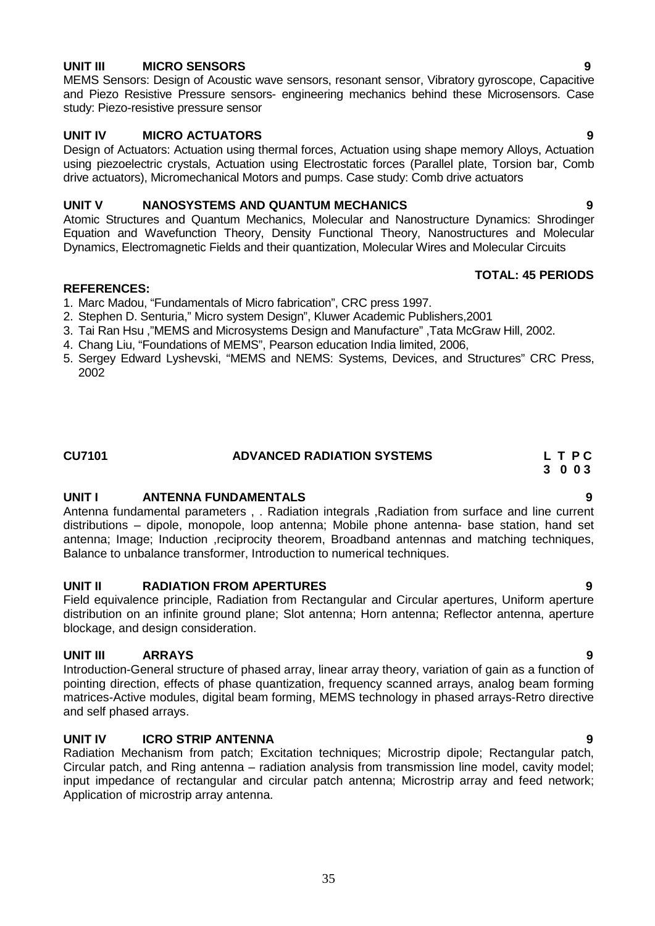# **UNIT III MICRO SENSORS 9**

MEMS Sensors: Design of Acoustic wave sensors, resonant sensor, Vibratory gyroscope, Capacitive and Piezo Resistive Pressure sensors- engineering mechanics behind these Microsensors. Case study: Piezo-resistive pressure sensor

# **UNIT IV MICRO ACTUATORS 9**

Design of Actuators: Actuation using thermal forces, Actuation using shape memory Alloys, Actuation using piezoelectric crystals, Actuation using Electrostatic forces (Parallel plate, Torsion bar, Comb drive actuators), Micromechanical Motors and pumps. Case study: Comb drive actuators

# **UNIT V NANOSYSTEMS AND QUANTUM MECHANICS 9**

Atomic Structures and Quantum Mechanics, Molecular and Nanostructure Dynamics: Shrodinger Equation and Wavefunction Theory, Density Functional Theory, Nanostructures and Molecular Dynamics, Electromagnetic Fields and their quantization, Molecular Wires and Molecular Circuits

### **REFERENCES:**

- 1. Marc Madou, "Fundamentals of Micro fabrication", CRC press 1997.
- 2. Stephen D. Senturia," Micro system Design", Kluwer Academic Publishers,2001
- 3. Tai Ran Hsu ,"MEMS and Microsystems Design and Manufacture" ,Tata McGraw Hill, 2002.
- 4. Chang Liu, "Foundations of MEMS", Pearson education India limited, 2006,
- 5. Sergey Edward Lyshevski, "MEMS and NEMS: Systems, Devices, and Structures" CRC Press, 2002

| <b>CU7101</b> | <b>ADVANCED RADIATION SYSTEMS</b> | LTPC |
|---------------|-----------------------------------|------|
|               |                                   |      |

### **UNIT I ANTENNA FUNDAMENTALS 9**

Antenna fundamental parameters , . Radiation integrals ,Radiation from surface and line current distributions – dipole, monopole, loop antenna; Mobile phone antenna- base station, hand set antenna; Image; Induction ,reciprocity theorem, Broadband antennas and matching techniques, Balance to unbalance transformer, Introduction to numerical techniques.

### **UNIT II RADIATION FROM APERTURES 9**

Field equivalence principle, Radiation from Rectangular and Circular apertures, Uniform aperture distribution on an infinite ground plane; Slot antenna; Horn antenna; Reflector antenna, aperture blockage, and design consideration.

# **UNIT III ARRAYS 9**

Introduction-General structure of phased array, linear array theory, variation of gain as a function of pointing direction, effects of phase quantization, frequency scanned arrays, analog beam forming matrices-Active modules, digital beam forming, MEMS technology in phased arrays-Retro directive and self phased arrays.

### **UNIT IV ICRO STRIP ANTENNA 9**

Radiation Mechanism from patch; Excitation techniques; Microstrip dipole; Rectangular patch, Circular patch, and Ring antenna – radiation analysis from transmission line model, cavity model; input impedance of rectangular and circular patch antenna; Microstrip array and feed network; Application of microstrip array antenna.

35

**3 0 0 3**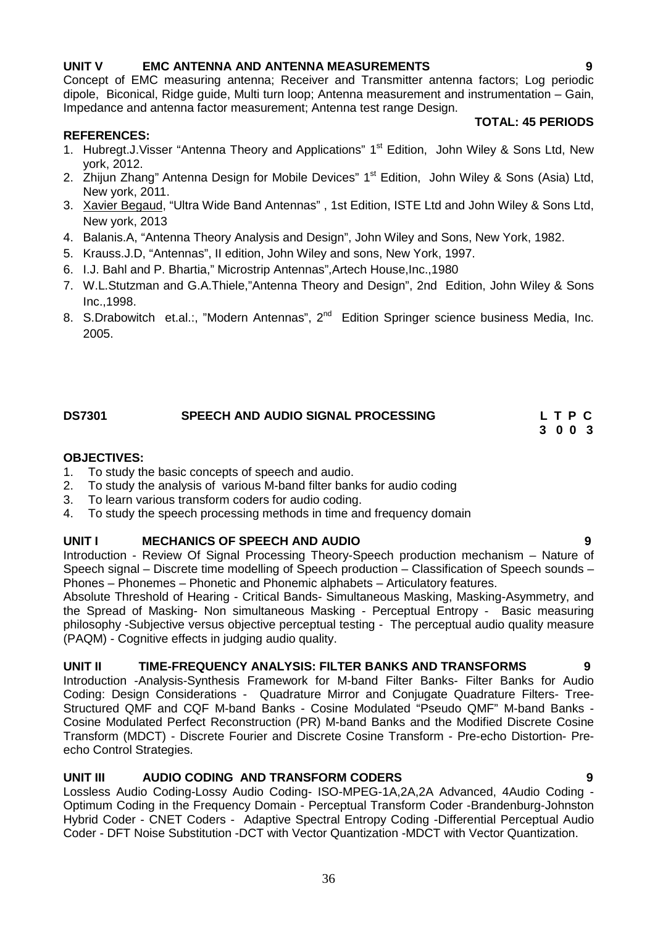# **UNIT V EMC ANTENNA AND ANTENNA MEASUREMENTS 9**

Concept of EMC measuring antenna; Receiver and Transmitter antenna factors; Log periodic dipole, Biconical, Ridge guide, Multi turn loop; Antenna measurement and instrumentation – Gain, Impedance and antenna factor measurement; Antenna test range Design.

### **REFERENCES:**

- 1. Hubregt.J. Visser "Antenna Theory and Applications" 1<sup>st</sup> Edition, John Wiley & Sons Ltd, New york, 2012.
- 2. Zhijun Zhang" Antenna Design for Mobile Devices" 1<sup>st</sup> Edition, John Wiley & Sons (Asia) Ltd, New york, 2011.
- 3. Xavier Begaud, "Ultra Wide Band Antennas" , 1st Edition, ISTE Ltd and John Wiley & Sons Ltd, New york, 2013
- 4. Balanis.A, "Antenna Theory Analysis and Design", John Wiley and Sons, New York, 1982.
- 5. Krauss.J.D, "Antennas", II edition, John Wiley and sons, New York, 1997.
- 6. I.J. Bahl and P. Bhartia," Microstrip Antennas",Artech House,Inc.,1980
- 7. W.L.Stutzman and G.A.Thiele,"Antenna Theory and Design", 2nd Edition, John Wiley & Sons Inc.,1998.
- 8. S.Drabowitch et.al.:, "Modern Antennas", 2<sup>nd</sup> Edition Springer science business Media, Inc. 2005.

# **DS7301 SPEECH AND AUDIO SIGNAL PROCESSING L T P C**

# **OBJECTIVES:**

- 1. To study the basic concepts of speech and audio.
- 2. To study the analysis of various M-band filter banks for audio coding
- 3. To learn various transform coders for audio coding.
- 4. To study the speech processing methods in time and frequency domain

### **UNIT I MECHANICS OF SPEECH AND AUDIO 9**

Introduction - Review Of Signal Processing Theory-Speech production mechanism – Nature of Speech signal – Discrete time modelling of Speech production – Classification of Speech sounds – Phones – Phonemes – Phonetic and Phonemic alphabets – Articulatory features.

Absolute Threshold of Hearing - Critical Bands- Simultaneous Masking, Masking-Asymmetry, and the Spread of Masking- Non simultaneous Masking - Perceptual Entropy - Basic measuring philosophy -Subjective versus objective perceptual testing - The perceptual audio quality measure (PAQM) - Cognitive effects in judging audio quality.

### **UNIT II TIME-FREQUENCY ANALYSIS: FILTER BANKS AND TRANSFORMS 9**

Introduction -Analysis-Synthesis Framework for M-band Filter Banks- Filter Banks for Audio Coding: Design Considerations - Quadrature Mirror and Conjugate Quadrature Filters- Tree- Structured QMF and CQF M-band Banks - Cosine Modulated "Pseudo QMF" M-band Banks - Cosine Modulated Perfect Reconstruction (PR) M-band Banks and the Modified Discrete Cosine Transform (MDCT) - Discrete Fourier and Discrete Cosine Transform - Pre-echo Distortion- Pre echo Control Strategies.

# **UNIT III AUDIO CODING AND TRANSFORM CODERS 9**

Lossless Audio Coding-Lossy Audio Coding- ISO-MPEG-1A,2A,2A Advanced, 4Audio Coding - Optimum Coding in the Frequency Domain - Perceptual Transform Coder -Brandenburg-Johnston Hybrid Coder - CNET Coders - Adaptive Spectral Entropy Coding -Differential Perceptual Audio Coder - DFT Noise Substitution -DCT with Vector Quantization -MDCT with Vector Quantization.

# **TOTAL: 45 PERIODS**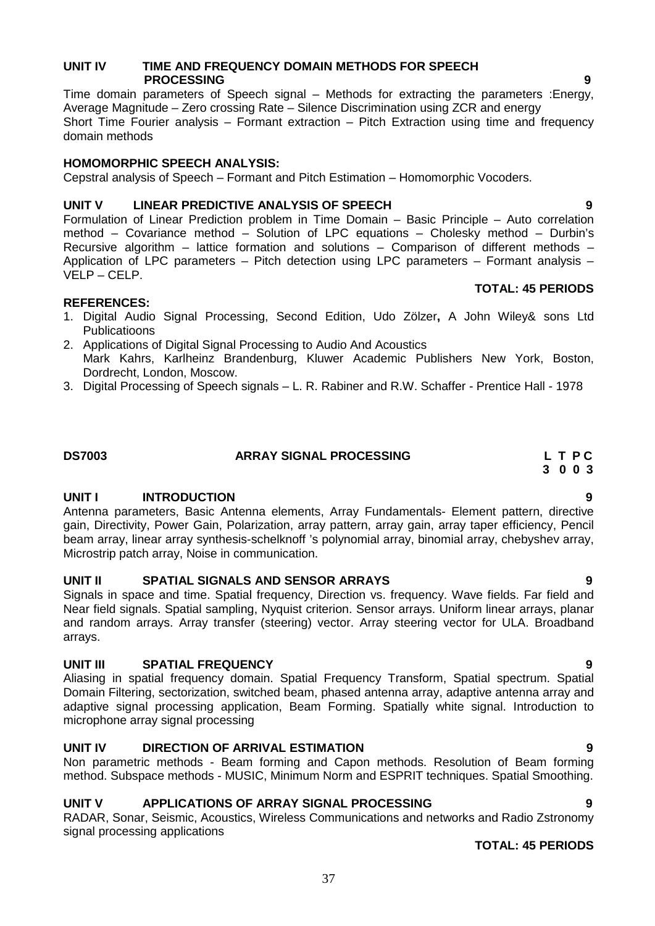# **UNIT IV TIME AND FREQUENCY DOMAIN METHODS FOR SPEECH PROCESSING 9**

Time domain parameters of Speech signal – Methods for extracting the parameters : Energy, Average Magnitude – Zero crossing Rate – Silence Discrimination using ZCR and energy Short Time Fourier analysis – Formant extraction – Pitch Extraction using time and frequency domain methods

# **HOMOMORPHIC SPEECH ANALYSIS:**

Cepstral analysis of Speech – Formant and Pitch Estimation – Homomorphic Vocoders.

# **UNIT V LINEAR PREDICTIVE ANALYSIS OF SPEECH 9**

Formulation of Linear Prediction problem in Time Domain – Basic Principle – Auto correlation method – Covariance method – Solution of LPC equations – Cholesky method – Durbin's Recursive algorithm – lattice formation and solutions – Comparison of different methods – Application of LPC parameters – Pitch detection using LPC parameters – Formant analysis – VELP –CELP.

### **REFERENCES:**

- 1. Digital Audio Signal Processing, Second Edition, Udo Zölzer**,** A John Wiley& sons Ltd Publicatioons
- 2. Applications of Digital Signal Processing to Audio And Acoustics Mark Kahrs, Karlheinz Brandenburg, Kluwer Academic Publishers New York, Boston, Dordrecht, London, Moscow.
- 3. Digital Processing of Speech signals L. R. Rabiner and R.W. Schaffer Prentice Hall 1978

### **DS7003 ARRAY SIGNAL PROCESSING L T P C**

### **UNIT I INTRODUCTION 9**

Antenna parameters, Basic Antenna elements, Array Fundamentals- Element pattern, directive gain, Directivity, Power Gain, Polarization, array pattern, array gain, array taper efficiency, Pencil beam array, linear array synthesis-schelknoff 's polynomial array, binomial array, chebyshev array, Microstrip patch array, Noise in communication.

# **UNIT II SPATIAL SIGNALS AND SENSOR ARRAYS 9**

Signals in space and time. Spatial frequency, Direction vs. frequency. Wave fields. Far field and Near field signals. Spatial sampling, Nyquist criterion. Sensor arrays. Uniform linear arrays, planar and random arrays. Array transfer (steering) vector. Array steering vector for ULA. Broadband arrays.

# **UNIT III SPATIAL FREQUENCY 9**

Aliasing in spatial frequency domain. Spatial Frequency Transform, Spatial spectrum. Spatial Domain Filtering, sectorization, switched beam, phased antenna array, adaptive antenna array and adaptive signal processing application, Beam Forming. Spatially white signal. Introduction to microphone array signal processing

# **UNIT IV DIRECTION OF ARRIVAL ESTIMATION 9**

Non parametric methods - Beam forming and Capon methods. Resolution of Beam forming method. Subspace methods - MUSIC, Minimum Norm and ESPRIT techniques. Spatial Smoothing.

# **UNIT V APPLICATIONS OF ARRAY SIGNAL PROCESSING 9**

RADAR, Sonar, Seismic, Acoustics, Wireless Communications and networks and Radio Zstronomy signal processing applications

# **TOTAL: 45 PERIODS**

# **3 0 0 3**